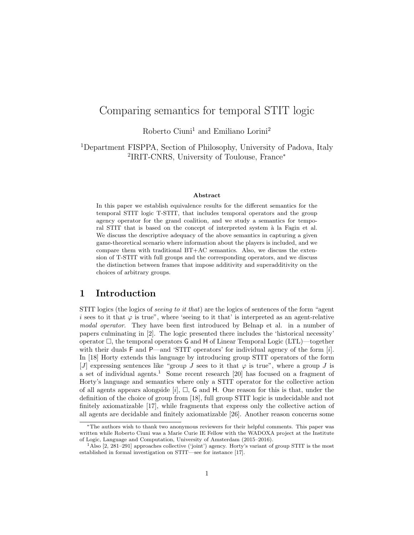# Comparing semantics for temporal STIT logic

Roberto Ciuni<sup>1</sup> and Emiliano Lorini<sup>2</sup>

<sup>1</sup>Department FISPPA, Section of Philosophy, University of Padova, Italy 2 IRIT-CNRS, University of Toulouse, France<sup>∗</sup>

#### Abstract

In this paper we establish equivalence results for the different semantics for the temporal STIT logic T-STIT, that includes temporal operators and the group agency operator for the grand coalition, and we study a semantics for temporal STIT that is based on the concept of interpreted system à la Fagin et al. We discuss the descriptive adequacy of the above semantics in capturing a given game-theoretical scenario where information about the players is included, and we compare them with traditional  $BT+AC$  semantics. Also, we discuss the extension of T-STIT with full groups and the corresponding operators, and we discuss the distinction between frames that impose additivity and superadditivity on the choices of arbitrary groups.

### 1 Introduction

STIT logics (the logics of seeing to it that) are the logics of sentences of the form "agent i sees to it that  $\varphi$  is true", where 'seeing to it that' is interpreted as an agent-relative modal operator. They have been first introduced by Belnap et al. in a number of papers culminating in [2]. The logic presented there includes the 'historical necessity' operator  $\Box$ , the temporal operators G and H of Linear Temporal Logic (LTL)—together with their duals  $F$  and  $P$ —and 'STIT operators' for individual agency of the form  $[i]$ . In [18] Horty extends this language by introducing group STIT operators of the form [J] expressing sentences like "group J sees to it that  $\varphi$  is true", where a group J is a set of individual agents.<sup>1</sup> Some recent research [20] has focused on a fragment of Horty's language and semantics where only a STIT operator for the collective action of all agents appears alongside [i],  $\Box$ , G and H. One reason for this is that, under the definition of the choice of group from [18], full group STIT logic is undecidable and not finitely axiomatizable [17], while fragments that express only the collective action of all agents are decidable and finitely axiomatizable [26]. Another reason concerns some

<sup>∗</sup>The authors wish to thank two anonymous reviewers for their helpful comments. This paper was written while Roberto Ciuni was a Marie Curie IE Fellow with the WADOXA project at the Institute of Logic, Language and Computation, University of Amsterdam (2015–2016).

<sup>&</sup>lt;sup>1</sup>Also [2, 281–291] approaches collective ('joint') agency. Horty's variant of group STIT is the most established in formal investigation on STIT—see for instance [17].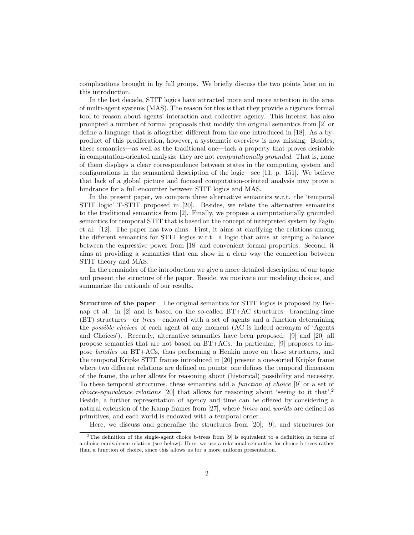complications brought in by full groups. We briefly discuss the two points later on in this introduction.

In the last decade, STIT logics have attracted more and more attention in the area of multi-agent systems (MAS). The reason for this is that they provide a rigorous formal tool to reason about agents' interaction and collective agency. This interest has also prompted a number of formal proposals that modify the original semantics from [2] or define a language that is altogether different from the one introduced in [18]. As a byproduct of this proliferation, however, a systematic overview is now missing. Besides, these semantics—as well as the traditional one—lack a property that proves desirable in computation-oriented analysis: they are not computationally grounded. That is, none of them displays a clear correspondence between states in the computing system and configurations in the semantical description of the logic—see [11, p. 151]. We believe that lack of a global picture and focused computation-oriented analysis may prove a hindrance for a full encounter between STIT logics and MAS.

In the present paper, we compare three alternative semantics w.r.t. the 'temporal STIT logic' T-STIT proposed in [20]. Besides, we relate the alternative semantics to the traditional semantics from [2]. Finally, we propose a computationally grounded semantics for temporal STIT that is based on the concept of interpreted system by Fagin et al. [12]. The paper has two aims. First, it aims at clarifying the relations among the different semantics for STIT logics w.r.t. a logic that aims at keeping a balance between the expressive power from [18] and convenient formal properties. Second, it aims at providing a semantics that can show in a clear way the connection between STIT theory and MAS.

In the remainder of the introduction we give a more detailed description of our topic and present the structure of the paper. Beside, we motivate our modeling choices, and summarize the rationale of our results.

Structure of the paper The original semantics for STIT logics is proposed by Belnap et al. in [2] and is based on the so-called BT+AC structures: branching-time (BT) structures—or trees—endowed with a set of agents and a function determining the possible choices of each agent at any moment (AC is indeed acronym of 'Agents and Choices'). Recently, alternative semantics have been proposed: [9] and [20] all propose semantics that are not based on BT+ACs. In particular, [9] proposes to impose bundles on BT+ACs, thus performing a Henkin move on those structures, and the temporal Kripke STIT frames introduced in [20] present a one-sorted Kripke frame where two different relations are defined on points: one defines the temporal dimension of the frame, the other allows for reasoning about (historical) possibility and necessity. To these temporal structures, these semantics add a function of choice [9] or a set of *choice-equivalence relations* [20] that allows for reasoning about 'seeing to it that'.<sup>2</sup> Beside, a further representation of agency and time can be offered by considering a natural extension of the Kamp frames from [27], where times and worlds are defined as primitives, and each world is endowed with a temporal order.

Here, we discuss and generalize the structures from [20], [9], and structures for

<sup>&</sup>lt;sup>2</sup>The definition of the single-agent choice b-trees from [9] is equivalent to a definition in terms of a choice-equivalence relation (see below). Here, we use a relational semantics for choice b-trees rather than a function of choice, since this allows us for a more uniform presentation.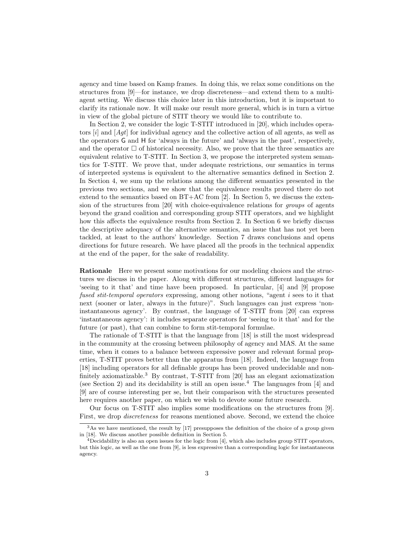agency and time based on Kamp frames. In doing this, we relax some conditions on the structures from [9]—for instance, we drop discreteness—and extend them to a multiagent setting. We discuss this choice later in this introduction, but it is important to clarify its rationale now. It will make our result more general, which is in turn a virtue in view of the global picture of STIT theory we would like to contribute to.

In Section 2, we consider the logic T-STIT introduced in [20], which includes operators  $[i]$  and  $[Aqt]$  for individual agency and the collective action of all agents, as well as the operators G and H for 'always in the future' and 'always in the past', respectively, and the operator  $\Box$  of historical necessity. Also, we prove that the three semantics are equivalent relative to T-STIT. In Section 3, we propose the interpreted system semantics for T-STIT. We prove that, under adequate restrictions, our semantics in terms of interpreted systems is equivalent to the alternative semantics defined in Section 2. In Section 4, we sum up the relations among the different semantics presented in the previous two sections, and we show that the equivalence results proved there do not extend to the semantics based on BT+AC from [2]. In Section 5, we discuss the extension of the structures from [20] with choice-equivalence relations for groups of agents beyond the grand coalition and corresponding group STIT operators, and we highlight how this affects the equivalence results from Section 2. In Section 6 we briefly discuss the descriptive adequacy of the alternative semantics, an issue that has not yet been tackled, at least to the authors' knowledge. Section 7 draws conclusions and opens directions for future research. We have placed all the proofs in the technical appendix at the end of the paper, for the sake of readability.

Rationale Here we present some motivations for our modeling choices and the structures we discuss in the paper. Along with different structures, different languages for 'seeing to it that' and time have been proposed. In particular, [4] and [9] propose fused stit-temporal operators expressing, among other notions, "agent i sees to it that next (sooner or later, always in the future)". Such languages can just express 'noninstantaneous agency'. By contrast, the language of T-STIT from [20] can express 'instantaneous agency': it includes separate operators for 'seeing to it that' and for the future (or past), that can combine to form stit-temporal formulae.

The rationale of T-STIT is that the language from [18] is still the most widespread in the community at the crossing between philosophy of agency and MAS. At the same time, when it comes to a balance between expressive power and relevant formal properties, T-STIT proves better than the apparatus from [18]. Indeed, the language from [18] including operators for all definable groups has been proved undecidable and nonfinitely axiomatizable.<sup>3</sup> By contrast, T-STIT from [20] has an elegant axiomatization (see Section 2) and its decidability is still an open issue.<sup>4</sup> The languages from [4] and [9] are of course interesting per se, but their comparison with the structures presented here requires another paper, on which we wish to devote some future research.

Our focus on T-STIT also implies some modifications on the structures from [9]. First, we drop discreteness for reasons mentioned above. Second, we extend the choice

 $3$ As we have mentioned, the result by [17] presupposes the definition of the choice of a group given in [18]. We discuss another possible definition in Section 5.

 $4$ Decidability is also an open issues for the logic from [4], which also includes group STIT operators, but this logic, as well as the one from [9], is less expressive than a corresponding logic for instantaneous agency.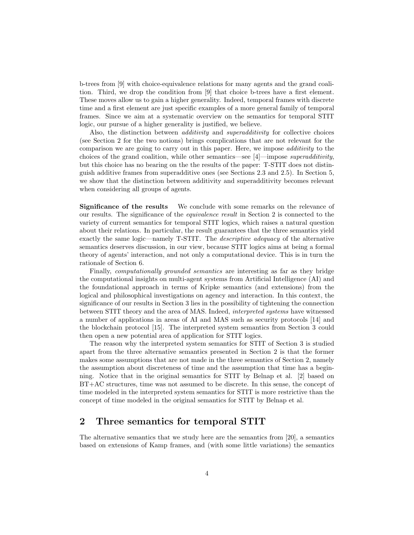b-trees from [9] with choice-equivalence relations for many agents and the grand coalition. Third, we drop the condition from [9] that choice b-trees have a first element. These moves allow us to gain a higher generality. Indeed, temporal frames with discrete time and a first element are just specific examples of a more general family of temporal frames. Since we aim at a systematic overview on the semantics for temporal STIT logic, our pursue of a higher generality is justified, we believe.

Also, the distinction between *additivity* and *superadditivity* for collective choices (see Section 2 for the two notions) brings complications that are not relevant for the comparison we are going to carry out in this paper. Here, we impose *additivity* to the choices of the grand coalition, while other semantics—see [4]—impose superadditivity, but this choice has no bearing on the the results of the paper: T-STIT does not distinguish additive frames from superadditive ones (see Sections 2.3 and 2.5). In Section 5, we show that the distinction between additivity and superadditivity becomes relevant when considering all groups of agents.

Significance of the results We conclude with some remarks on the relevance of our results. The significance of the equivalence result in Section 2 is connected to the variety of current semantics for temporal STIT logics, which raises a natural question about their relations. In particular, the result guarantees that the three semantics yield exactly the same logic—namely T-STIT. The *descriptive adequacy* of the alternative semantics deserves discussion, in our view, because STIT logics aims at being a formal theory of agents' interaction, and not only a computational device. This is in turn the rationale of Section 6.

Finally, computationally grounded semantics are interesting as far as they bridge the computational insights on multi-agent systems from Artificial Intelligence (AI) and the foundational approach in terms of Kripke semantics (and extensions) from the logical and philosophical investigations on agency and interaction. In this context, the significance of our results in Section 3 lies in the possibility of tightening the connection between STIT theory and the area of MAS. Indeed, interpreted systems have witnessed a number of applications in areas of AI and MAS such as security protocols [14] and the blockchain protocol [15]. The interpreted system semantics from Section 3 could then open a new potential area of application for STIT logics.

The reason why the interpreted system semantics for STIT of Section 3 is studied apart from the three alternative semantics presented in Section 2 is that the former makes some assumptions that are not made in the three semantics of Section 2, namely the assumption about discreteness of time and the assumption that time has a beginning. Notice that in the original semantics for STIT by Belnap et al. [2] based on BT+AC structures, time was not assumed to be discrete. In this sense, the concept of time modeled in the interpreted system semantics for STIT is more restrictive than the concept of time modeled in the original semantics for STIT by Belnap et al.

# 2 Three semantics for temporal STIT

The alternative semantics that we study here are the semantics from [20], a semantics based on extensions of Kamp frames, and (with some little variations) the semantics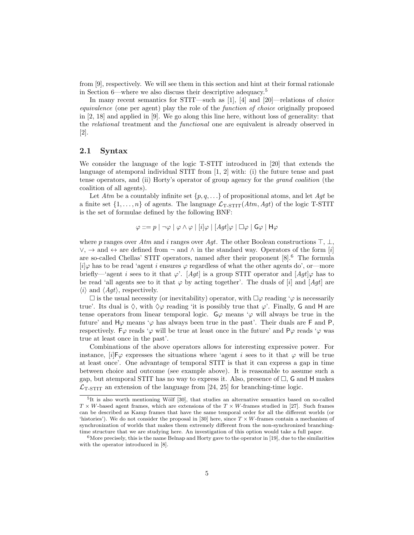from [9], respectively. We will see them in this section and hint at their formal rationale in Section 6—where we also discuss their descriptive adequacy.<sup>5</sup>

In many recent semantics for STIT—such as [1], [4] and [20]—relations of choice equivalence (one per agent) play the role of the function of choice originally proposed in [2, 18] and applied in [9]. We go along this line here, without loss of generality: that the relational treatment and the functional one are equivalent is already observed in [2].

#### 2.1 Syntax

We consider the language of the logic T-STIT introduced in [20] that extends the language of atemporal individual STIT from [1, 2] with: (i) the future tense and past tense operators, and (ii) Horty's operator of group agency for the grand coalition (the coalition of all agents).

Let Atm be a countably infinite set  $\{p, q, \ldots\}$  of propositional atoms, and let Agt be a finite set  $\{1,\ldots,n\}$  of agents. The language  $\mathcal{L}_{\text{T-STIT}}(Atm, Agt)$  of the logic T-STIT is the set of formulae defined by the following BNF:

$$
\varphi ::= p \mid \neg \varphi \mid \varphi \land \varphi \mid [i] \varphi \mid [Agt] \varphi \mid \Box \varphi \mid G\varphi \mid H\varphi
$$

where p ranges over Atm and i ranges over Agt. The other Boolean constructions  $\top$ ,  $\bot$ ,  $\vee$ ,  $\rightarrow$  and  $\leftrightarrow$  are defined from  $\neg$  and  $\wedge$  in the standard way. Operators of the form [i] are so-called Chellas' STIT operators, named after their proponent [8].<sup>6</sup> The formula  $[i] \varphi$  has to be read 'agent i ensures  $\varphi$  regardless of what the other agents do', or—more briefly—'agent i sees to it that  $\varphi'$ . [Agt] is a group STIT operator and  $[Agt]\varphi$  has to be read 'all agents see to it that  $\varphi$  by acting together'. The duals of [i] and [Agt] are  $\langle i \rangle$  and  $\langle Agt \rangle$ , respectively.

 $\Box$  is the usual necessity (or inevitability) operator, with  $\Box \varphi$  reading ' $\varphi$  is necessarily true'. Its dual is  $\Diamond$ , with  $\Diamond \varphi$  reading 'it is possibly true that  $\varphi'$ . Finally, G and H are tense operators from linear temporal logic.  $\mathsf{G}\varphi$  means ' $\varphi$  will always be true in the future' and  $H\varphi$  means ' $\varphi$  has always been true in the past'. Their duals are F and P, respectively. F $\varphi$  reads ' $\varphi$  will be true at least once in the future' and P $\varphi$  reads ' $\varphi$  was true at least once in the past'.

Combinations of the above operators allows for interesting expressive power. For instance,  $[i]$ F $\varphi$  expresses the situations where 'agent i sees to it that  $\varphi$  will be true at least once'. One advantage of temporal STIT is that it can express a gap in time between choice and outcome (see example above). It is reasonable to assume such a gap, but atemporal STIT has no way to express it. Also, presence of  $\Box$ , G and H makes  $\mathcal{L}_{\text{T-STIT}}$  an extension of the language from [24, 25] for branching-time logic.

 ${}^{5}$ It is also worth mentioning Wölf [30], that studies an alternative semantics based on so-called  $T \times W$ -based agent frames, which are extensions of the  $T \times W$ -frames studied in [27]. Such frames can be described as Kamp frames that have the same temporal order for all the different worlds (or 'histories'). We do not consider the proposal in [30] here, since  $T \times W$ -frames contain a mechanism of synchronization of worlds that makes them extremely different from the non-synchronized branchingtime structure that we are studying here. An investigation of this option would take a full paper.

 $6$ More precisely, this is the name Belnap and Horty gave to the operator in [19], due to the similarities with the operator introduced in [8].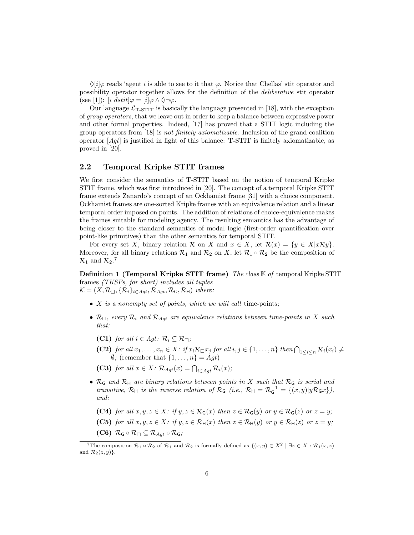$\Diamond[i]\varphi$  reads 'agent i is able to see to it that  $\varphi$ . Notice that Chellas' stit operator and possibility operator together allows for the definition of the deliberative stit operator (see [1]): [i dstit] $\varphi = [i] \varphi \wedge \Diamond \neg \varphi$ .

Our language  $\mathcal{L}_{T\text{-STIT}}$  is basically the language presented in [18], with the exception of group operators, that we leave out in order to keep a balance between expressive power and other formal properties. Indeed, [17] has proved that a STIT logic including the group operators from [18] is not finitely axiomatizable. Inclusion of the grand coalition operator  $[Agt]$  is justified in light of this balance: T-STIT is finitely axiomatizable, as proved in [20].

### 2.2 Temporal Kripke STIT frames

We first consider the semantics of T-STIT based on the notion of temporal Kripke STIT frame, which was first introduced in [20]. The concept of a temporal Kripke STIT frame extends Zanardo's concept of an Ockhamist frame [31] with a choice component. Ockhamist frames are one-sorted Kripke frames with an equivalence relation and a linear temporal order imposed on points. The addition of relations of choice-equivalence makes the frames suitable for modeling agency. The resulting semantics has the advantage of being closer to the standard semantics of modal logic (first-order quantification over point-like primitives) than the other semantics for temporal STIT.

For every set X, binary relation R on X and  $x \in X$ , let  $\mathcal{R}(x) = \{y \in X | x \mathcal{R} y\}.$ Moreover, for all binary relations  $\mathcal{R}_1$  and  $\mathcal{R}_2$  on X, let  $\mathcal{R}_1 \circ \mathcal{R}_2$  be the composition of  $\mathcal{R}_1$  and  $\mathcal{R}_2$ .<sup>7</sup>

**Definition 1 (Temporal Kripke STIT frame)** The class  $\mathbb{K}$  of temporal Kripke STIT frames (TKSFs, for short) includes all tuples  $\mathcal{K} = (X, \mathcal{R}_{\Box}, \{\mathcal{R}_i\}_{i \in \text{Agt}}, \mathcal{R}_{\text{Agt}}, \mathcal{R}_{\text{G}}, \mathcal{R}_{\text{H}})$  where:

- $X$  is a nonempty set of points, which we will call time-points;
- $\mathcal{R}_{\Box}$ , every  $\mathcal{R}_i$  and  $\mathcal{R}_{\text{Aqt}}$  are equivalence relations between time-points in X such that:
	- (C1) for all  $i \in Agt$ :  $\mathcal{R}_i \subseteq \mathcal{R}_{\Box}$ ;
	- (C2) for all  $x_1, \ldots, x_n \in X$ : if  $x_i \mathcal{R} \square x_j$  for all  $i, j \in \{1, \ldots, n\}$  then  $\bigcap_{1 \leq i \leq n} \mathcal{R}_i(x_i) \neq \emptyset$  $\emptyset$ ; (remember that  $\{1, \ldots, n\} = Agt$ )

(C3) for all  $x \in X$ :  $\mathcal{R}_{Agt}(x) = \bigcap_{i \in Agt} \mathcal{R}_i(x)$ ;

- $\mathcal{R}_G$  and  $\mathcal{R}_H$  are binary relations between points in X such that  $\mathcal{R}_G$  is serial and transitive,  $\mathcal{R}_{\mathsf{H}}$  is the inverse relation of  $\mathcal{R}_{\mathsf{G}}$  (i.e.,  $\mathcal{R}_{\mathsf{H}} = \mathcal{R}_{\mathsf{G}}^{-1} = \{(x, y) | y\mathcal{R}_{\mathsf{G}}x\}$ ), and:
	- (C4) for all  $x, y, z \in X$ : if  $y, z \in \mathcal{R}_G(x)$  then  $z \in \mathcal{R}_G(y)$  or  $y \in \mathcal{R}_G(z)$  or  $z = y$ ;
	- (C5) for all  $x, y, z \in X$ : if  $y, z \in \mathcal{R}_{\mathsf{H}}(x)$  then  $z \in \mathcal{R}_{\mathsf{H}}(y)$  or  $y \in \mathcal{R}_{\mathsf{H}}(z)$  or  $z = y$ ;
	- (C6)  $\mathcal{R}_{\mathsf{G}} \circ \mathcal{R}_{\Box} \subseteq \mathcal{R}_{Aqt} \circ \mathcal{R}_{\mathsf{G}};$

The composition  $\mathcal{R}_1 \circ \mathcal{R}_2$  of  $\mathcal{R}_1$  and  $\mathcal{R}_2$  is formally defined as  $\{(x, y) \in X^2 \mid \exists z \in X : \mathcal{R}_1(x, z)\}$ and  $\mathcal{R}_2(z, y)$ .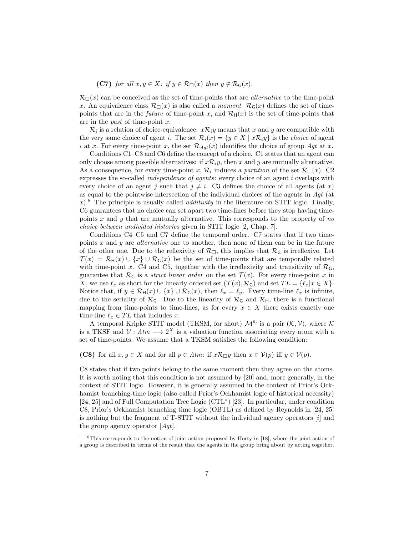(C7) for all  $x, y \in X$ : if  $y \in \mathcal{R}_{\Box}(x)$  then  $y \notin \mathcal{R}_{\mathsf{G}}(x)$ .

 $\mathcal{R}_{\Box}(x)$  can be conceived as the set of time-points that are *alternative* to the time-point x. An equivalence class  $\mathcal{R}_{\Box}(x)$  is also called a moment.  $\mathcal{R}_{\mathsf{G}}(x)$  defines the set of timepoints that are in the *future* of time-point x, and  $\mathcal{R}_{H}(x)$  is the set of time-points that are in the past of time-point x.

 $\mathcal{R}_i$  is a relation of choice-equivalence:  $x\mathcal{R}_i y$  means that x and y are compatible with the very same choice of agent i. The set  $\mathcal{R}_i(x) = \{y \in X \mid x \mathcal{R}_i y\}$  is the *choice* of agent i at x. For every time-point x, the set  $\mathcal{R}_{Aqt}(x)$  identifies the choice of group  $Aqt$  at x.

Conditions C1–C3 and C6 define the concept of a choice. C1 states that an agent can only choose among possible alternatives: if  $x\mathcal{R}_iy$ , then x and y are mutually alternative. As a consequence, for every time-point x,  $\mathcal{R}_i$  induces a partition of the set  $\mathcal{R}_{\Box}(x)$ . C2 expresses the so-called *independence of agents*: every choice of an agent  $i$  overlaps with every choice of an agent j such that  $j \neq i$ . C3 defines the choice of all agents (at x) as equal to the pointwise intersection of the individual choices of the agents in  $Aqt$  (at  $x$ <sup>8</sup>. The principle is usually called *additivity* in the literature on STIT logic. Finally, C6 guarantees that no choice can set apart two time-lines before they stop having timepoints  $x$  and  $y$  that are mutually alternative. This corresponds to the property of no choice between undivided histories given in STIT logic [2, Chap. 7].

Conditions C4–C5 and C7 define the temporal order. C7 states that if two timepoints  $x$  and  $y$  are *alternative* one to another, then none of them can be in the future of the other one. Due to the reflexivity of  $\mathcal{R}_{\Box}$ , this implies that  $\mathcal{R}_{\mathsf{G}}$  is irreflexive. Let  $\mathcal{T}(x) = \mathcal{R}_{\mathsf{H}}(x) \cup \{x\} \cup \mathcal{R}_{\mathsf{G}}(x)$  be the set of time-points that are temporally related with time-point x. C4 and C5, together with the irreflexivity and transitivity of  $\mathcal{R}_G$ , guarantee that  $\mathcal{R}_G$  is a *strict linear order* on the set  $\mathcal{T}(x)$ . For every time-point x in X, we use  $\ell_x$  as short for the linearly ordered set  $(\mathcal{T}(x), \mathcal{R}_G)$  and set  $TL = \{\ell_x | x \in X\}.$ Notice that, if  $y \in \mathcal{R}_{\mathsf{H}}(x) \cup \{x\} \cup \mathcal{R}_{\mathsf{G}}(x)$ , then  $\ell_x = \ell_y$ . Every time-line  $\ell_x$  is infinite, due to the seriality of  $\mathcal{R}_G$ . Due to the linearity of  $\mathcal{R}_G$  and  $\mathcal{R}_H$ , there is a functional mapping from time-points to time-lines, as for every  $x \in X$  there exists exactly one time-line  $\ell_x \in TL$  that includes x.

A temporal Kripke STIT model (TKSM, for short)  $\mathcal{M}^{\mathcal{K}}$  is a pair  $(\mathcal{K}, \mathcal{V})$ , where  $\mathcal{K}$ is a TKSF and  $\mathcal{V}: A \ell m \longrightarrow 2^X$  is a valuation function associating every atom with a set of time-points. We assume that a TKSM satisfies the following condition:

(C8) for all  $x, y \in X$  and for all  $p \in Atm$ : if  $x \mathcal{R}_{\Box} y$  then  $x \in V(p)$  iff  $y \in V(p)$ .

C8 states that if two points belong to the same moment then they agree on the atoms. It is worth noting that this condition is not assumed by [20] and, more generally, in the context of STIT logic. However, it is generally assumed in the context of Prior's Ockhamist branching-time logic (also called Prior's Ockhamist logic of historical necessity) [24, 25] and of Full Computation Tree Logic (CTL<sup>∗</sup> ) [23]. In particular, under condition C8, Prior's Ockhamist branching time logic (OBTL) as defined by Reynolds in [24, 25] is nothing but the fragment of  $T-TIT$  without the individual agency operators  $[i]$  and the group agency operator  $[Aqt]$ .

<sup>8</sup>This corresponds to the notion of joint action proposed by Horty in [18], where the joint action of a group is described in terms of the result that the agents in the group bring about by acting together.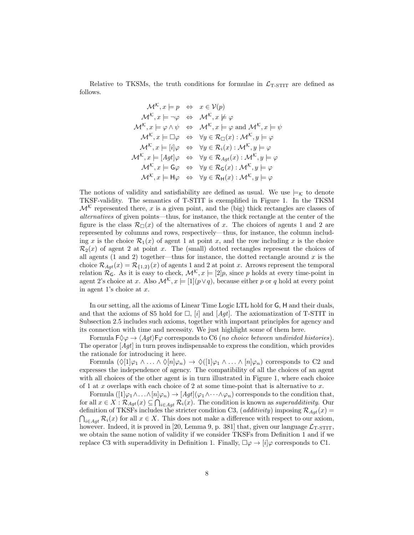Relative to TKSMs, the truth conditions for formulae in  $\mathcal{L}_{T-TIT}$  are defined as follows.

$$
\mathcal{M}^{\mathcal{K}}, x \models p \Leftrightarrow x \in \mathcal{V}(p)
$$
  

$$
\mathcal{M}^{\mathcal{K}}, x \models \neg \varphi \Leftrightarrow \mathcal{M}^{\mathcal{K}}, x \not\models \varphi
$$
  

$$
\mathcal{M}^{\mathcal{K}}, x \models \varphi \land \psi \Leftrightarrow \mathcal{M}^{\mathcal{K}}, x \models \varphi \text{ and } \mathcal{M}^{\mathcal{K}}, x \models \psi
$$
  

$$
\mathcal{M}^{\mathcal{K}}, x \models \Box \varphi \Leftrightarrow \forall y \in \mathcal{R}_{\Box}(x) : \mathcal{M}^{\mathcal{K}}, y \models \varphi
$$
  

$$
\mathcal{M}^{\mathcal{K}}, x \models [i] \varphi \Leftrightarrow \forall y \in \mathcal{R}_{\Box}(x) : \mathcal{M}^{\mathcal{K}}, y \models \varphi
$$
  

$$
\mathcal{M}^{\mathcal{K}}, x \models [Agt] \varphi \Leftrightarrow \forall y \in \mathcal{R}_{Agt}(x) : \mathcal{M}^{\mathcal{K}}, y \models \varphi
$$
  

$$
\mathcal{M}^{\mathcal{K}}, x \models G\varphi \Leftrightarrow \forall y \in \mathcal{R}_{G}(x) : \mathcal{M}^{\mathcal{K}}, y \models \varphi
$$
  

$$
\mathcal{M}^{\mathcal{K}}, x \models H\varphi \Leftrightarrow \forall y \in \mathcal{R}_{H}(x) : \mathcal{M}^{\mathcal{K}}, y \models \varphi
$$

The notions of validity and satisfiability are defined as usual. We use  $\models_K$  to denote TKSF-validity. The semantics of T-STIT is exemplified in Figure 1. In the TKSM  $\mathcal{M}^{\mathcal{K}}$  represented there, x is a given point, and the (big) thick rectangles are classes of alternatives of given points—thus, for instance, the thick rectangle at the center of the figure is the class  $\mathcal{R}_{\Box}(x)$  of the alternatives of x. The choices of agents 1 and 2 are represented by columns and rows, respectively—thus, for instance, the column including x is the choice  $\mathcal{R}_1(x)$  of agent 1 at point x, and the row including x is the choice  $\mathcal{R}_2(x)$  of agent 2 at point x. The (small) dotted rectangles represent the choices of all agents  $(1 \text{ and } 2)$  together—thus for instance, the dotted rectangle around x is the choice  $\mathcal{R}_{Aqt}(x) = \mathcal{R}_{\{1,2\}}(x)$  of agents 1 and 2 at point x. Arrows represent the temporal relation  $\mathcal{R}_G$ . As it is easy to check,  $\mathcal{M}^{\mathcal{K}}$ ,  $x \models [2]p$ , since p holds at every time-point in agent 2's choice at x. Also  $\mathcal{M}^{\mathcal{K}}$ ,  $x \models [1](p \lor q)$ , because either p or q hold at every point in agent 1's choice at  $x$ .

In our setting, all the axioms of Linear Time Logic LTL hold for G, H and their duals, and that the axioms of S5 hold for  $\Box$ , [i] and [Aqt]. The axiomatization of T-STIT in Subsection 2.5 includes such axioms, together with important principles for agency and its connection with time and necessity. We just highlight some of them here.

Formula  $F \Diamond \varphi \rightarrow \langle Agt \rangle F \varphi$  corresponds to C6 (no choice between undivided histories). The operator  $[Agt]$  in turn proves indispensable to express the condition, which provides the rationale for introducing it here.

Formula  $(\Diamond [1]\varphi_1 \land ... \land \Diamond [n]\varphi_n) \to \Diamond ([1]\varphi_1 \land ... \land [n]\varphi_n)$  corresponds to C2 and expresses the independence of agency. The compatibility of all the choices of an agent with all choices of the other agent is in turn illustrated in Figure 1, where each choice of 1 at x overlaps with each choice of 2 at some time-point that is alternative to  $x$ .

Formula  $([1]\varphi_1\wedge\ldots\wedge[n]\varphi_n)\to [Agt](\varphi_1\wedge\cdots\wedge\varphi_n)$  corresponds to the condition that, for all  $x \in X : \mathcal{R}_{Agt}(x) \subseteq \bigcap_{i \in Agt} \mathcal{R}_i(x)$ . The condition is known as superadditivity. Our definition of TKSFs includes the stricter condition C3, (additivity) imposing  $\mathcal{R}_{Agt}(x)$  =  $\bigcap_{i\in Agt} \mathcal{R}_i(x)$  for all  $x \in X$ . This does not make a difference with respect to our axiom, however. Indeed, it is proved in [20, Lemma 9, p. 381] that, given our language  $\mathcal{L}_{\text{T-STIT}}$ , we obtain the same notion of validity if we consider TKSFs from Definition 1 and if we replace C3 with superaddivity in Definition 1. Finally,  $\Box \varphi \rightarrow |i| \varphi$  corresponds to C1.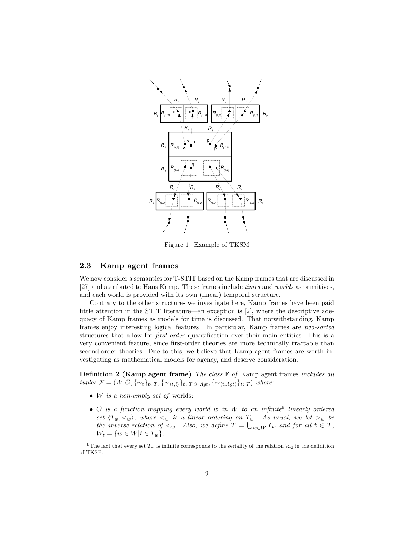

Figure 1: Example of TKSM

#### 2.3 Kamp agent frames

We now consider a semantics for T-STIT based on the Kamp frames that are discussed in [27] and attributed to Hans Kamp. These frames include times and worlds as primitives, and each world is provided with its own (linear) temporal structure.

Contrary to the other structures we investigate here, Kamp frames have been paid little attention in the STIT literature—an exception is [2], where the descriptive adequacy of Kamp frames as models for time is discussed. That notwithstanding, Kamp frames enjoy interesting logical features. In particular, Kamp frames are two-sorted structures that allow for first-order quantification over their main entities. This is a very convenient feature, since first-order theories are more technically tractable than second-order theories. Due to this, we believe that Kamp agent frames are worth investigating as mathematical models for agency, and deserve consideration.

**Definition 2 (Kamp agent frame)** The class  $\mathbb{F}$  of Kamp agent frames includes all tuples  $\mathcal{F} = (W, \mathcal{O}, \{\sim_t\}_{t \in T}, \{\sim_{\langle t,i\rangle}\}_{t \in T, i \in Agt}, \{\sim_{\langle t, Aqt\rangle}\}_{t \in T})$  where:

- W is a non-empty set of worlds;
- $\mathcal O$  is a function mapping every world w in W to an infinite<sup>9</sup> linearly ordered set  $\langle T_w, \langle w \rangle$ , where  $\langle w \rangle$  is a linear ordering on  $T_w$ . As usual, we let  $\langle w \rangle$  be the inverse relation of  $\lt_w$ . Also, we define  $T = \bigcup_{w \in W} T_w$  and for all  $t \in T$ ,  $W_t = \{w \in W | t \in T_w\};$

<sup>&</sup>lt;sup>9</sup>The fact that every set  $T_w$  is infinite corresponds to the seriality of the relation  $\mathcal{R}_G$  in the definition of TKSF.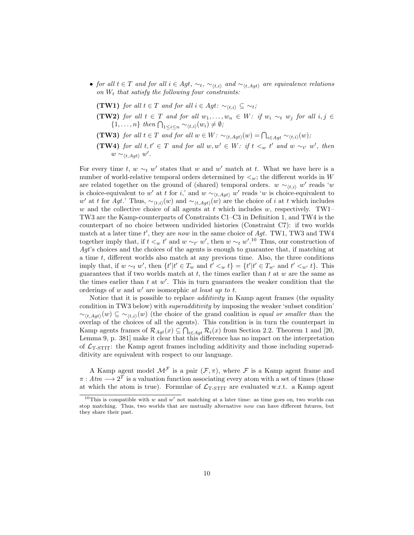- for all  $t \in T$  and for all  $i \in Agt$ ,  $\sim_t$ ,  $\sim_{(t,i)}$  and  $\sim_{(t, Agt)}$  are equivalence relations on  $W_t$  that satisfy the following four constraints:
	- (TW1) for all  $t \in T$  and for all  $i \in Agt: \sim_{(t,i)} \subseteq \sim_t;$
	- (TW2) for all  $t \in T$  and for all  $w_1, \ldots, w_n \in W$ : if  $w_i \sim_t w_j$  for all  $i, j \in$  $\{1,\ldots,n\}$  then  $\bigcap_{1\leq i\leq n}\sim_{\langle t,i\rangle}(w_i)\neq\emptyset;$
	- **(TW3)** for all  $t \in T$  and for all  $w \in W$ :  $\sim_{\langle t, Agt \rangle}(w) = \bigcap_{i \in Agt} \sim_{\langle t,i \rangle}(w)$ ;
	- (TW4) for all  $t, t' \in T$  and for all  $w, w' \in W$ : if  $t <_w t'$  and  $w \sim_{t'} w'$ , then  $w \sim_{\langle t, Agt \rangle} w'.$

For every time t,  $w \sim_t w'$  states that w and w' match at t. What we have here is a number of world-relative temporal orders determined by  $\lt_w$ ; the different worlds in W are related together on the ground of (shared) temporal orders.  $w \sim_{(t,i)} w'$  reads 'w is choice-equivalent to w' at t for i,' and  $w \sim_{(t, Agt)} w'$  reads 'w is choice-equivalent to w' at t for Agt.' Thus,  $\sim_{(t,i)}(w)$  and  $\sim_{(t, Agt)}(w)$  are the choice of i at t which includes w and the collective choice of all agents at t which includes w, respectively. TW1– TW3 are the Kamp-counterparts of Constraints C1–C3 in Definition 1, and TW4 is the counterpart of no choice between undivided histories (Constraint C7): if two worlds match at a later time  $t'$ , they are now in the same choice of Agt. TW1, TW3 and TW4 together imply that, if  $t \leq w$  t' and  $w \sim_{t'} w'$ , then  $w \sim_{t} w'.^{10}$  Thus, our construction of  $Aqt$ 's choices and the choices of the agents is enough to guarantee that, if matching at a time t, different worlds also match at any previous time. Also, the three conditions imply that, if  $w \sim_t w'$ , then  $\{t' | t' \in T_w \text{ and } t' <_w t\} = \{t' | t' \in T_{w'} \text{ and } t' <_w t\}$ . This guarantees that if two worlds match at  $t$ , the times earlier than  $t$  at  $w$  are the same as the times earlier than  $t$  at  $w'$ . This in turn guarantees the weaker condition that the orderings of  $w$  and  $w'$  are isomorphic at least up to  $t$ .

Notice that it is possible to replace *additivity* in Kamp agent frames (the equality condition in TW3 below) with superadditivity by imposing the weaker 'subset condition'  $\sim_{(t, Aqt)}(w) \subseteq \sim_{(t,i)}(w)$  (the choice of the grand coalition is equal or smaller than the overlap of the choices of all the agents). This condition is in turn the counterpart in Kamp agents frames of  $\mathcal{R}_{Agt}(x) \subseteq \bigcap_{i \in Agt} \mathcal{R}_i(x)$  from Section 2.2. Theorem 1 and [20, Lemma 9, p. 381] make it clear that this difference has no impact on the interpretation of  $\mathcal{L}_{T-STIT}$ : the Kamp agent frames including additivity and those including superadditivity are equivalent with respect to our language.

A Kamp agent model  $\mathcal{M}^{\mathcal{F}}$  is a pair  $(\mathcal{F}, \pi)$ , where  $\mathcal F$  is a Kamp agent frame and  $\pi: A \text{tm} \longrightarrow 2^T$  is a valuation function associating every atom with a set of times (those at which the atom is true). Formulae of  $\mathcal{L}_{T\text{-STIT}}$  are evaluated w.r.t. a Kamp agent

<sup>&</sup>lt;sup>10</sup>This is compatible with w and w' not matching at a later time: as time goes on, two worlds can stop matching. Thus, two worlds that are mutually alternative now can have different futures, but they share their past.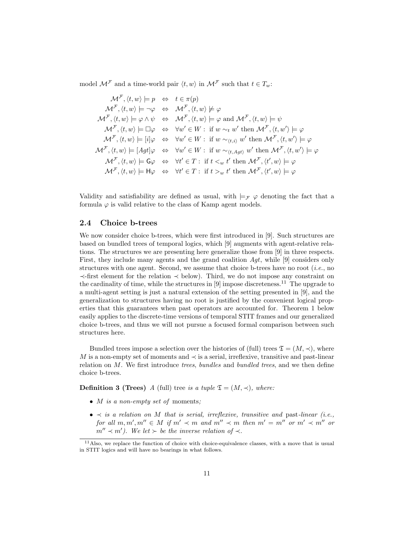model  $\mathcal{M}^{\mathcal{F}}$  and a time-world pair  $\langle t, w \rangle$  in  $\mathcal{M}^{\mathcal{F}}$  such that  $t \in T_w$ :

$$
\mathcal{M}^{\mathcal{F}}, \langle t, w \rangle \models p \Leftrightarrow t \in \pi(p)
$$
  
\n
$$
\mathcal{M}^{\mathcal{F}}, \langle t, w \rangle \models \neg \varphi \Leftrightarrow \mathcal{M}^{\mathcal{F}}, \langle t, w \rangle \not\models \varphi
$$
  
\n
$$
\mathcal{M}^{\mathcal{F}}, \langle t, w \rangle \models \varphi \land \psi \Leftrightarrow \mathcal{M}^{\mathcal{F}}, \langle t, w \rangle \models \varphi \text{ and } \mathcal{M}^{\mathcal{F}}, \langle t, w \rangle \models \psi
$$
  
\n
$$
\mathcal{M}^{\mathcal{F}}, \langle t, w \rangle \models \Box \varphi \Leftrightarrow \forall w' \in W : \text{ if } w \sim_t w' \text{ then } \mathcal{M}^{\mathcal{F}}, \langle t, w' \rangle \models \varphi
$$
  
\n
$$
\mathcal{M}^{\mathcal{F}}, \langle t, w \rangle \models [i] \varphi \Leftrightarrow \forall w' \in W : \text{ if } w \sim_{\langle t, \lambda \rangle} w' \text{ then } \mathcal{M}^{\mathcal{F}}, \langle t, w' \rangle \models \varphi
$$
  
\n
$$
\mathcal{M}^{\mathcal{F}}, \langle t, w \rangle \models [Agt] \Leftrightarrow \forall w' \in W : \text{ if } w \sim_{\langle t, Agt \rangle} w' \text{ then } \mathcal{M}^{\mathcal{F}}, \langle t, w' \rangle \models \varphi
$$
  
\n
$$
\mathcal{M}^{\mathcal{F}}, \langle t, w \rangle \models \mathsf{G}\varphi \Leftrightarrow \forall t' \in T : \text{ if } t \leq_w t' \text{ then } \mathcal{M}^{\mathcal{F}}, \langle t', w \rangle \models \varphi
$$
  
\n
$$
\mathcal{M}^{\mathcal{F}}, \langle t, w \rangle \models \mathsf{H}\varphi \Leftrightarrow \forall t' \in T : \text{ if } t \geq_w t' \text{ then } \mathcal{M}^{\mathcal{F}}, \langle t', w \rangle \models \varphi
$$

Validity and satisfiability are defined as usual, with  $\models_{\mathcal{F}} \varphi$  denoting the fact that a formula  $\varphi$  is valid relative to the class of Kamp agent models.

### 2.4 Choice b-trees

We now consider choice b-trees, which were first introduced in [9]. Such structures are based on bundled trees of temporal logics, which [9] augments with agent-relative relations. The structures we are presenting here generalize those from [9] in three respects. First, they include many agents and the grand coalition Agt, while [9] considers only structures with one agent. Second, we assume that choice b-trees have no root (*i.e.*, no ≺-first element for the relation ≺ below). Third, we do not impose any constraint on the cardinality of time, while the structures in  $[9]$  impose discreteness.<sup>11</sup> The upgrade to a multi-agent setting is just a natural extension of the setting presented in [9], and the generalization to structures having no root is justified by the convenient logical properties that this guarantees when past operators are accounted for. Theorem 1 below easily applies to the discrete-time versions of temporal STIT frames and our generalized choice b-trees, and thus we will not pursue a focused formal comparison between such structures here.

Bundled trees impose a selection over the histories of (full) trees  $\mathfrak{T} = (M, \prec)$ , where M is a non-empty set of moments and  $\prec$  is a serial, irreflexive, transitive and past-linear relation on M. We first introduce *trees*, *bundles* and *bundled trees*, and we then define choice b-trees.

**Definition 3 (Trees)** A (full) tree is a tuple  $\mathfrak{T} = (M, \prec)$ , where:

- $M$  is a non-empty set of moments;
- $\prec$  is a relation on M that is serial, irreflexive, transitive and past-linear (i.e., for all  $m, m', m'' \in M$  if  $m' \prec m$  and  $m'' \prec m$  then  $m' = m''$  or  $m' \prec m''$  or  $m'' \prec m'$ ). We let  $\succ$  be the inverse relation of  $\prec$ .

 $11$ Also, we replace the function of choice with choice-equivalence classes, with a move that is usual in STIT logics and will have no bearings in what follows.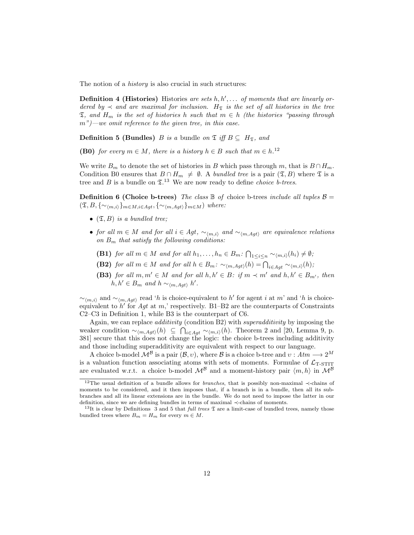The notion of a *history* is also crucial in such structures:

**Definition 4 (Histories)** Histories are sets  $h, h', \ldots$  of moments that are linearly ordered by  $\prec$  and are maximal for inclusion. H<sub>T</sub> is the set of all histories in the tree  $\mathfrak{I}$ , and  $H_m$  is the set of histories h such that  $m \in h$  (the histories "passing through  $m"$ )—we omit reference to the given tree, in this case.

**Definition 5 (Bundles)** B is a bundle on  $\mathfrak{T}$  iff  $B \subseteq H_{\mathfrak{T}}$ , and

**(B0)** for every  $m \in M$ , there is a history  $h \in B$  such that  $m \in h$ .<sup>12</sup>

We write  $B_m$  to denote the set of histories in B which pass through m, that is  $B \cap H_m$ . Condition B0 ensures that  $B \cap H_m \neq \emptyset$ . A bundled tree is a pair  $(\mathfrak{T}, B)$  where  $\mathfrak{T}$  is a tree and  $B$  is a bundle on  $\mathfrak{T}^{13}$ . We are now ready to define *choice b-trees*.

**Definition 6 (Choice b-trees)** The class  $\mathbb B$  of choice b-trees include all tuples  $\mathcal B$  =  $(\mathfrak{I}, B, \{ \sim_{\langle m,i \rangle} \}_{m \in M, i \in Agt}, \{ \sim_{\langle m, Agt \rangle} \}_{m \in M})$  where:

- $(\mathfrak{T}, B)$  is a bundled tree;
- for all  $m \in M$  and for all  $i \in Agt$ ,  $\sim_{(m,i)}$  and  $\sim_{(m,Aqt)}$  are equivalence relations on  $B_m$  that satisfy the following conditions:
	- **(B1)** for all  $m \in M$  and for all  $h_1, \ldots, h_n \in B_m$ :  $\bigcap_{1 \leq i \leq n} \sim_{\langle m,i \rangle}(h_i) \neq \emptyset$ ;
	- **(B2)** for all  $m \in M$  and for all  $h \in B_m$ :  $\sim_{\langle m, Agt \rangle}(h) = \bigcap_{i \in Agt} \sim_{\langle m,i \rangle}(h)$ ;
	- (B3) for all  $m, m' \in M$  and for all  $h, h' \in B$ : if  $m \prec m'$  and  $h, h' \in B_{m'}$ , then  $h, h' \in B_m$  and  $h \sim_{\langle m, Agt \rangle} h'.$

 $\sim_{\langle m,i\rangle}$  and  $\sim_{\langle m,Agt\rangle}$  read 'h is choice-equivalent to h' for agent i at m' and 'h is choiceequivalent to  $h'$  for Agt at m,' respectively. B1–B2 are the counterparts of Constraints C2–C3 in Definition 1, while B3 is the counterpart of C6.

Again, we can replace *additivity* (condition B2) with *superadditivity* by imposing the weaker condition  $\sim_{\langle m, Agt \rangle}(h) \subseteq \bigcap_{i \in Agt} \sim_{\langle m,i \rangle}(h)$ . Theorem 2 and [20, Lemma 9, p. 381] secure that this does not change the logic: the choice b-trees including additivity and those including superadditivity are equivalent with respect to our language.

A choice b-model  $\mathcal{M}^{\mathcal{B}}$  is a pair  $(\mathcal{B}, v)$ , where  $\mathcal{B}$  is a choice b-tree and  $v : Atm \longrightarrow 2^M$ is a valuation function associating atoms with sets of moments. Formulae of  $\mathcal{L}_{\text{T-STIT}}$ are evaluated w.r.t. a choice b-model  $\mathcal{M}^{\beta}$  and a moment-history pair  $\langle m, h \rangle$  in  $\mathcal{M}^{\beta}$ 

<sup>12</sup>The usual definition of a bundle allows for branches, that is possibly non-maximal ≺-chains of moments to be considered, and it then imposes that, if a branch is in a bundle, then all its subbranches and all its linear extensions are in the bundle. We do not need to impose the latter in our definition, since we are defining bundles in terms of maximal ≺-chains of moments.

<sup>&</sup>lt;sup>13</sup>It is clear by Definitions 3 and 5 that *full trees*  $\mathfrak{\text{I}}$  are a limit-case of bundled trees, namely those bundled trees where  $B_m = H_m$  for every  $m \in M$ .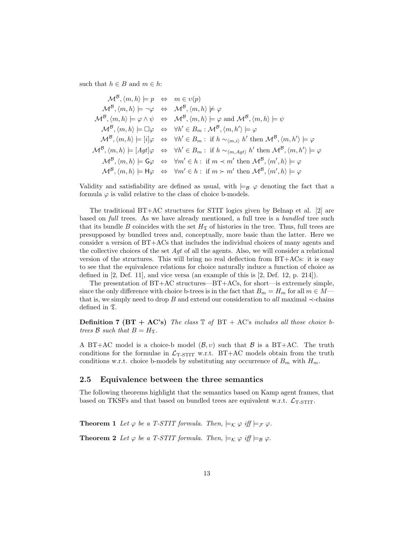such that  $h \in B$  and  $m \in h$ :

$$
\mathcal{M}^{\mathcal{B}}, \langle m, h \rangle \models p \Leftrightarrow m \in v(p)
$$
  
\n
$$
\mathcal{M}^{\mathcal{B}}, \langle m, h \rangle \models \neg \varphi \Leftrightarrow \mathcal{M}^{\mathcal{B}}, \langle m, h \rangle \not\models \varphi
$$
  
\n
$$
\mathcal{M}^{\mathcal{B}}, \langle m, h \rangle \models \varphi \land \psi \Leftrightarrow \mathcal{M}^{\mathcal{B}}, \langle m, h \rangle \models \varphi \text{ and } \mathcal{M}^{\mathcal{B}}, \langle m, h \rangle \models \psi
$$
  
\n
$$
\mathcal{M}^{\mathcal{B}}, \langle m, h \rangle \models \Box \varphi \Leftrightarrow \forall h' \in B_m : \mathcal{M}^{\mathcal{B}}, \langle m, h' \rangle \models \varphi
$$
  
\n
$$
\mathcal{M}^{\mathcal{B}}, \langle m, h \rangle \models [i] \varphi \Leftrightarrow \forall h' \in B_m : \text{if } h \sim_{\langle m, i \rangle} h' \text{ then } \mathcal{M}^{\mathcal{B}}, \langle m, h' \rangle \models \varphi
$$
  
\n
$$
\mathcal{M}^{\mathcal{B}}, \langle m, h \rangle \models [Agt] \varphi \Leftrightarrow \forall h' \in B_m : \text{if } h \sim_{\langle m, Agt \rangle} h' \text{ then } \mathcal{M}^{\mathcal{B}}, \langle m, h' \rangle \models \varphi
$$
  
\n
$$
\mathcal{M}^{\mathcal{B}}, \langle m, h \rangle \models \mathsf{G}\varphi \Leftrightarrow \forall m' \in h : \text{if } m \prec m' \text{ then } \mathcal{M}^{\mathcal{B}}, \langle m', h \rangle \models \varphi
$$
  
\n
$$
\mathcal{M}^{\mathcal{B}}, \langle m, h \rangle \models \mathsf{H}\varphi \Leftrightarrow \forall m' \in h : \text{if } m \succ m' \text{ then } \mathcal{M}^{\mathcal{B}}, \langle m', h \rangle \models \varphi
$$

Validity and satisfiability are defined as usual, with  $\models_B \varphi$  denoting the fact that a formula  $\varphi$  is valid relative to the class of choice b-models.

The traditional BT+AC structures for STIT logics given by Belnap et al. [2] are based on *full* trees. As we have already mentioned, a full tree is a *bundled* tree such that its bundle B coincides with the set  $H_{\mathfrak{T}}$  of histories in the tree. Thus, full trees are presupposed by bundled trees and, conceptually, more basic than the latter. Here we consider a version of BT+ACs that includes the individual choices of many agents and the collective choices of the set  $Aqt$  of all the agents. Also, we will consider a relational version of the structures. This will bring no real deflection from BT+ACs: it is easy to see that the equivalence relations for choice naturally induce a function of choice as defined in [2, Def. 11], and vice versa (an example of this is [2, Def. 12, p. 214]).

The presentation of BT+AC structures—BT+ACs, for short—is extremely simple, since the only difference with choice b-trees is in the fact that  $B_m = H_m$  for all  $m \in M$  that is, we simply need to drop B and extend our consideration to all maximal  $\prec$ -chains defined in  ${\mathfrak{T}}.$ 

**Definition 7 (BT + AC's)** The class  $\mathbb{T}$  of BT + AC's includes all those choice btrees  $\mathcal{B}$  such that  $B = H_{\mathfrak{T}}$ .

A BT+AC model is a choice-b model  $(\mathcal{B}, v)$  such that  $\mathcal{B}$  is a BT+AC. The truth conditions for the formulae in  $\mathcal{L}_{\text{T-STIT}}$  w.r.t. BT+AC models obtain from the truth conditions w.r.t. choice b-models by substituting any occurrence of  $B_m$  with  $H_m$ .

### 2.5 Equivalence between the three semantics

The following theorems highlight that the semantics based on Kamp agent frames, that based on TKSFs and that based on bundled trees are equivalent w.r.t.  $\mathcal{L}_{\text{T-STIT}}$ .

**Theorem 1** Let  $\varphi$  be a T-STIT formula. Then,  $\models_K \varphi$  iff  $\models_F \varphi$ . **Theorem 2** Let  $\varphi$  be a T-STIT formula. Then,  $\models_K \varphi$  iff  $\models_B \varphi$ .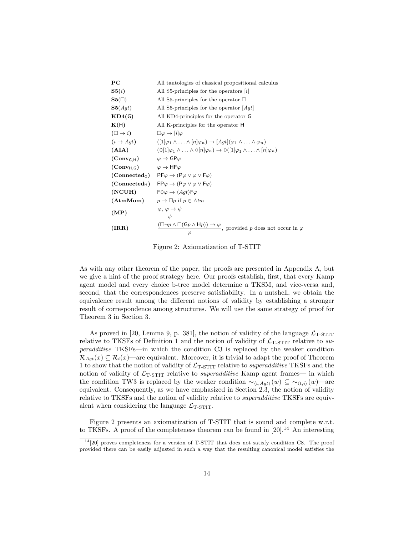| PС                     | All tautologies of classical propositional calculus                                                                                                    |
|------------------------|--------------------------------------------------------------------------------------------------------------------------------------------------------|
| S5(i)                  | All S5-principles for the operators $ i $                                                                                                              |
| ${\bf S5}(\Box)$       | All S5-principles for the operator $\Box$                                                                                                              |
| S5(Aqt)                | All S5-principles for the operator $ Agt $                                                                                                             |
| KD4(G)                 | All KD4-principles for the operator G                                                                                                                  |
| K(H)                   | All K-principles for the operator H                                                                                                                    |
| $(\Box \rightarrow i)$ | $\square\varphi\to i \varphi$                                                                                                                          |
| $(i \rightarrow Aqt)$  | $([1]\varphi_1\wedge\ldots\wedge[n]\varphi_n)\rightarrow [Aqt](\varphi_1\wedge\ldots\wedge\varphi_n)$                                                  |
| (AIA)                  | $(\Diamond [1] \varphi_1 \land \ldots \land \Diamond [n] \varphi_n) \rightarrow \Diamond ([1] \varphi_1 \land \ldots \land [n] \varphi_n)$             |
| $(Conv_{G,H})$         | $\varphi \rightarrow \mathsf{GP}\varphi$                                                                                                               |
| $(\text{Conv}_{H, G})$ | $\varphi \rightarrow \mathsf{HF} \varphi$                                                                                                              |
|                        | $(Connected_G)$ $PF\varphi \rightarrow (P\varphi \vee \varphi \vee F\varphi)$                                                                          |
|                        | (Connected <sub>H</sub> ) $FP\varphi \rightarrow (P\varphi \lor \varphi \lor F\varphi)$                                                                |
| (NCUH)                 | $F \Diamond \varphi \rightarrow \langle Aqt \rangle F \varphi$                                                                                         |
|                        | (AtmMom) $p \rightarrow \Box p$ if $p \in Atm$                                                                                                         |
| (MP)                   | $\frac{\varphi, \varphi \to \psi}{\psi}$                                                                                                               |
| (IRR)                  | $\frac{(\Box \neg p \land \Box(\mathsf{G} p \land \mathsf{H} p)) \rightarrow \varphi}{\Box \Box \Box \neg p}$ , provided p does not occur in $\varphi$ |

Figure 2: Axiomatization of T-STIT

As with any other theorem of the paper, the proofs are presented in Appendix A, but we give a hint of the proof strategy here. Our proofs establish, first, that every Kamp agent model and every choice b-tree model determine a TKSM, and vice-versa and, second, that the correspondences preserve satisfiability. In a nutshell, we obtain the equivalence result among the different notions of validity by establishing a stronger result of correspondence among structures. We will use the same strategy of proof for Theorem 3 in Section 3.

As proved in [20, Lemma 9, p. 381], the notion of validity of the language  $\mathcal{L}_{\text{T-STIT}}$ relative to TKSFs of Definition 1 and the notion of validity of  $\mathcal{L}_{\text{T-STIT}}$  relative to superadditive TKSFs—in which the condition C3 is replaced by the weaker condition  $\mathcal{R}_{Aqt}(x) \subseteq \mathcal{R}_i(x)$ —are equivalent. Moreover, it is trivial to adapt the proof of Theorem 1 to show that the notion of validity of  $\mathcal{L}_{\text{T-STIT}}$  relative to *superadditive* TKSFs and the notion of validity of  $\mathcal{L}_{T-STIT}$  relative to *superadditive* Kamp agent frames— in which the condition TW3 is replaced by the weaker condition  $\sim_{\langle t, Agt \rangle}(w) \subseteq \sim_{\langle t,i \rangle}(w)$ —are equivalent. Consequently, as we have emphasized in Section 2.3, the notion of validity relative to TKSFs and the notion of validity relative to superadditive TKSFs are equivalent when considering the language  $\mathcal{L}_{\text{T-STIT}}$ .

Figure 2 presents an axiomatization of T-STIT that is sound and complete w.r.t. to TKSFs. A proof of the completeness theorem can be found in [20].<sup>14</sup> An interesting

 $14$ [20] proves completeness for a version of T-STIT that does not satisfy condition C8. The proof provided there can be easily adjusted in such a way that the resulting canonical model satisfies the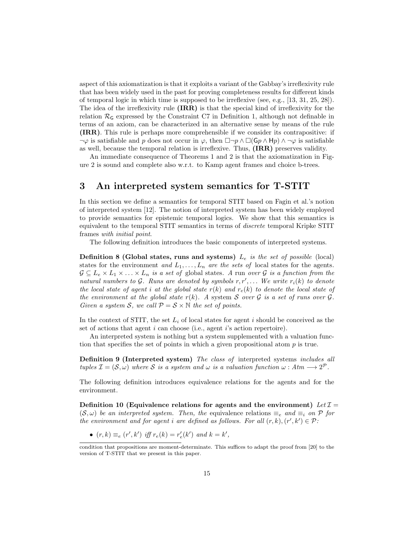aspect of this axiomatization is that it exploits a variant of the Gabbay's irreflexivity rule that has been widely used in the past for proving completeness results for different kinds of temporal logic in which time is supposed to be irreflexive (see, e.g., [13, 31, 25, 28]). The idea of the irreflexivity rule (IRR) is that the special kind of irreflexivity for the relation  $\mathcal{R}_G$  expressed by the Constraint C7 in Definition 1, although not definable in terms of an axiom, can be characterized in an alternative sense by means of the rule (IRR). This rule is perhaps more comprehensible if we consider its contrapositive: if  $\neg \varphi$  is satisfiable and p does not occur in  $\varphi$ , then  $\Box \neg p \land \Box(\mathsf{G}p \land \mathsf{H}p) \land \neg \varphi$  is satisfiable as well, because the temporal relation is irreflexive. Thus, (IRR) preserves validity.

An immediate consequence of Theorems 1 and 2 is that the axiomatization in Figure 2 is sound and complete also w.r.t. to Kamp agent frames and choice b-trees.

### 3 An interpreted system semantics for T-STIT

In this section we define a semantics for temporal STIT based on Fagin et al.'s notion of interpreted system [12]. The notion of interpreted system has been widely employed to provide semantics for epistemic temporal logics. We show that this semantics is equivalent to the temporal STIT semantics in terms of discrete temporal Kripke STIT frames with initial point.

The following definition introduces the basic components of interpreted systems.

**Definition 8 (Global states, runs and systems)**  $L_e$  is the set of possible (local) states for the environment and  $L_1, \ldots, L_n$  are the sets of local states for the agents.  $\mathcal{G} \subseteq L_e \times L_1 \times \ldots \times L_n$  is a set of global states. A run over  $\mathcal{G}$  is a function from the natural numbers to G. Runs are denoted by symbols  $r, r', \ldots$  We write  $r_i(k)$  to denote the local state of agent i at the global state  $r(k)$  and  $r<sub>e</sub>(k)$  to denote the local state of the environment at the global state  $r(k)$ . A system S over G is a set of runs over G. Given a system S, we call  $P = S \times \mathbb{N}$  the set of points.

In the context of STIT, the set  $L_i$  of local states for agent i should be conceived as the set of actions that agent *i* can choose (i.e., agent *i*'s action repertoire).

An interpreted system is nothing but a system supplemented with a valuation function that specifies the set of points in which a given propositional atom  $p$  is true.

Definition 9 (Interpreted system) The class of interpreted systems includes all tuples  $\mathcal{I} = (\mathcal{S}, \omega)$  where S is a system and  $\omega$  is a valuation function  $\omega : A \mathcal{I} \longrightarrow 2^{\mathcal{P}}$ .

The following definition introduces equivalence relations for the agents and for the environment.

Definition 10 (Equivalence relations for agents and the environment) Let  $\mathcal{I} =$  $(S, \omega)$  be an interpreted system. Then, the equivalence relations  $\equiv_e$  and  $\equiv_i$  on P for the environment and for agent i are defined as follows. For all  $(r, k)$ ,  $(r', k') \in \mathcal{P}$ :

•  $(r, k) \equiv_e (r', k')$  iff  $r_e(k) = r'_e(k')$  and  $k = k'$ ,

condition that propositions are moment-determinate. This suffices to adapt the proof from [20] to the version of T-STIT that we present in this paper.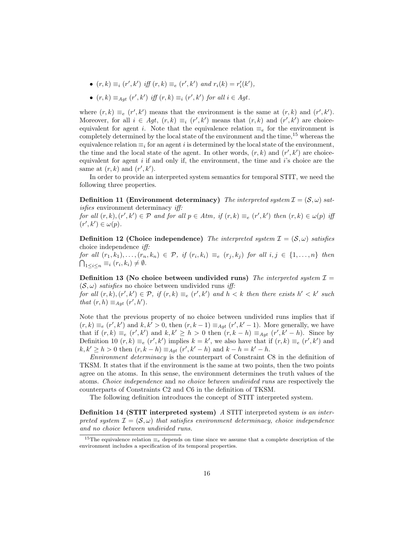- $(r, k) \equiv_i (r', k')$  iff  $(r, k) \equiv_e (r', k')$  and  $r_i(k) = r'_i(k')$ ,
- $(r, k) \equiv_{Agt} (r', k')$  iff  $(r, k) \equiv_i (r', k')$  for all  $i \in Agt$ .

where  $(r, k) \equiv_e (r', k')$  means that the environment is the same at  $(r, k)$  and  $(r', k')$ . Moreover, for all  $i \in Agt$ ,  $(r, k) \equiv_i (r', k')$  means that  $(r, k)$  and  $(r', k')$  are choiceequivalent for agent i. Note that the equivalence relation  $\equiv_e$  for the environment is completely determined by the local state of the environment and the time,<sup>15</sup> whereas the equivalence relation  $\equiv_i$  for an agent i is determined by the local state of the environment, the time and the local state of the agent. In other words,  $(r, k)$  and  $(r', k')$  are choiceequivalent for agent  $i$  if and only if, the environment, the time and  $i$ 's choice are the same at  $(r, k)$  and  $(r', k')$ .

In order to provide an interpreted system semantics for temporal STIT, we need the following three properties.

**Definition 11 (Environment determinacy)** The interpreted system  $\mathcal{I} = (\mathcal{S}, \omega)$  satisfies environment determinacy iff:

for all  $(r, k), (r', k') \in \mathcal{P}$  and for all  $p \in Atm$ , if  $(r, k) \equiv_e (r', k')$  then  $(r, k) \in \omega(p)$  iff  $(r', k') \in \omega(p)$ .

**Definition 12 (Choice independence)** The interpreted system  $\mathcal{I} = (\mathcal{S}, \omega)$  satisfies choice independence iff:

for all  $(r_1, k_1), \ldots, (r_n, k_n) \in \mathcal{P}$ , if  $(r_i, k_i) \equiv_e (r_j, k_j)$  for all  $i, j \in \{1, \ldots, n\}$  then  $\bigcap_{1\leq i\leq n}\equiv_i (r_i,k_i)\neq\emptyset.$ 

Definition 13 (No choice between undivided runs) The interpreted system  $\mathcal{I} =$  $(\mathcal{S}, \omega)$  satisfies no choice between undivided runs iff:

for all  $(r, k), (r', k') \in \mathcal{P}$ , if  $(r, k) \equiv_e (r', k')$  and  $h < k$  then there exists  $h' < k'$  such that  $(r, h) \equiv_{Agt} (r', h').$ 

Note that the previous property of no choice between undivided runs implies that if  $(r, k) \equiv_e (r', k')$  and  $k, k' > 0$ , then  $(r, k - 1) \equiv_{Agt} (r', k' - 1)$ . More generally, we have that if  $(r, k) \equiv_e (r', k')$  and  $k, k' \geq h > 0$  then  $(r, k - h) \equiv_{Agt} (r', k' - h)$ . Since by Definition 10  $(r, k) \equiv_e (r', k')$  implies  $k = k'$ , we also have that if  $(r, k) \equiv_e (r', k')$  and  $k, k' \ge h > 0$  then  $(r, k - h) \equiv_{Agt} (r', k' - h)$  and  $k - h = k' - h$ .

Environment determinacy is the counterpart of Constraint C8 in the definition of TKSM. It states that if the environment is the same at two points, then the two points agree on the atoms. In this sense, the environment determines the truth values of the atoms. Choice independence and no choice between undivided runs are respectively the counterparts of Constraints C2 and C6 in the definition of TKSM.

The following definition introduces the concept of STIT interpreted system.

Definition 14 (STIT interpreted system) A STIT interpreted system is an interpreted system  $\mathcal{I} = (\mathcal{S}, \omega)$  that satisfies environment determinacy, choice independence and no choice between undivided runs.

<sup>&</sup>lt;sup>15</sup>The equivalence relation  $\equiv_e$  depends on time since we assume that a complete description of the environment includes a specification of its temporal properties.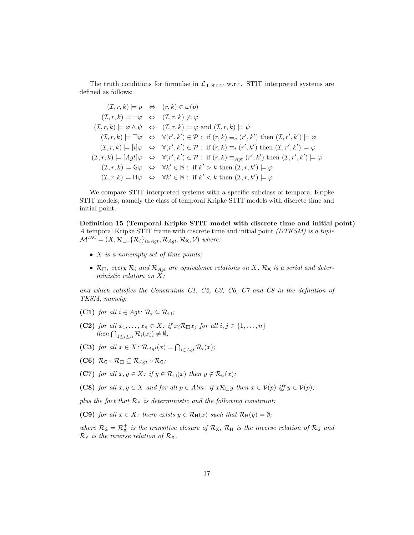The truth conditions for formulae in  $\mathcal{L}_{\text{T-STIT}}$  w.r.t. STIT interpreted systems are defined as follows:

$$
(I, r, k) \models p \Leftrightarrow (r, k) \in \omega(p)
$$
  
\n
$$
(I, r, k) \models \neg \varphi \Leftrightarrow (I, r, k) \not\models \varphi
$$
  
\n
$$
(I, r, k) \models \varphi \land \psi \Leftrightarrow (I, r, k) \models \varphi \text{ and } (I, r, k) \models \psi
$$
  
\n
$$
(I, r, k) \models \Box \varphi \Leftrightarrow \forall (r', k') \in \mathcal{P} : \text{ if } (r, k) \equiv_e (r', k') \text{ then } (I, r', k') \models \varphi
$$
  
\n
$$
(I, r, k) \models [i] \varphi \Leftrightarrow \forall (r', k') \in \mathcal{P} : \text{ if } (r, k) \equiv_i (r', k') \text{ then } (I, r', k') \models \varphi
$$
  
\n
$$
(I, r, k) \models [Agt] \varphi \Leftrightarrow \forall (r', k') \in \mathcal{P} : \text{ if } (r, k) \equiv_{Agt} (r', k') \text{ then } (I, r', k') \models \varphi
$$
  
\n
$$
(I, r, k) \models \mathsf{G}\varphi \Leftrightarrow \forall k' \in \mathbb{N} : \text{ if } k' > k \text{ then } (I, r, k') \models \varphi
$$
  
\n
$$
(I, r, k) \models \mathsf{H}\varphi \Leftrightarrow \forall k' \in \mathbb{N} : \text{ if } k' < k \text{ then } (I, r, k') \models \varphi
$$

We compare STIT interpreted systems with a specific subclass of temporal Kripke STIT models, namely the class of temporal Kripke STIT models with discrete time and initial point.

Definition 15 (Temporal Kripke STIT model with discrete time and initial point) A temporal Kripke STIT frame with discrete time and initial point (DTKSM) is a tuple  $\mathcal{M}^{\mathcal{DK}} = (X, \mathcal{R}_{\Box}, \{\mathcal{R}_i\}_{i \in Agt}, \mathcal{R}_{Agt}, \mathcal{R}_{X}, \mathcal{V})$  where:

- $X$  is a nonempty set of time-points;
- $\mathcal{R}_{\Box}$ , every  $\mathcal{R}_i$  and  $\mathcal{R}_{Agt}$  are equivalence relations on X,  $\mathcal{R}_{\mathsf{X}}$  is a serial and deterministic relation on X;

and which satisfies the Constraints C1, C2, C3, C6, C7 and C8 in the definition of TKSM, namely:

- (C1) for all  $i \in Agt$ :  $\mathcal{R}_i \subseteq \mathcal{R}_{\square}$ ;
- (C2) for all  $x_1, \ldots, x_n \in X$ : if  $x_i \mathcal{R} \square x_j$  for all  $i, j \in \{1, \ldots, n\}$ then  $\bigcap_{1 \leq i \leq n} \mathcal{R}_i(x_i) \neq \emptyset;$
- (C3) for all  $x \in X$ :  $\mathcal{R}_{Agt}(x) = \bigcap_{i \in Agt} \mathcal{R}_i(x)$ ;
- (C6)  $\mathcal{R}_{\mathsf{G}} \circ \mathcal{R}_{\Box} \subseteq \mathcal{R}_{\mathit{Aut}} \circ \mathcal{R}_{\mathsf{G}};$
- (C7) for all  $x, y \in X$ : if  $y \in \mathcal{R}_{\Box}(x)$  then  $y \notin \mathcal{R}_{\mathsf{G}}(x)$ ;
- (C8) for all  $x, y \in X$  and for all  $p \in Atm$ : if  $x \mathcal{R}_{\Box} y$  then  $x \in V(p)$  iff  $y \in V(p)$ ;

plus the fact that  $\mathcal{R}_{Y}$  is deterministic and the following constraint:

(C9) for all  $x \in X$ : there exists  $y \in \mathcal{R}_{H}(x)$  such that  $\mathcal{R}_{H}(y) = \emptyset$ ;

where  $\mathcal{R}_G = \mathcal{R}_X^+$  is the transitive closure of  $\mathcal{R}_X$ ,  $\mathcal{R}_H$  is the inverse relation of  $\mathcal{R}_G$  and  $\mathcal{R}_{\mathsf{Y}}$  is the inverse relation of  $\mathcal{R}_{\mathsf{X}}$ .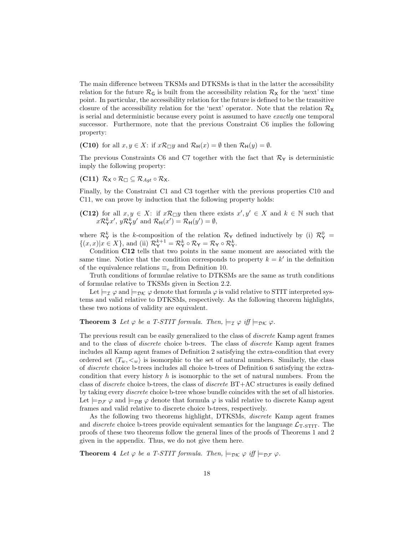The main difference between TKSMs and DTKSMs is that in the latter the accessibility relation for the future  $\mathcal{R}_\mathsf{G}$  is built from the accessibility relation  $\mathcal{R}_\mathsf{X}$  for the 'next' time point. In particular, the accessibility relation for the future is defined to be the transitive closure of the accessibility relation for the 'next' operator. Note that the relation  $\mathcal{R}_{\mathsf{X}}$ is serial and deterministic because every point is assumed to have exactly one temporal successor. Furthermore, note that the previous Constraint C6 implies the following property:

(C10) for all  $x, y \in X$ : if  $x \mathcal{R} \square y$  and  $\mathcal{R}_{\mathsf{H}}(x) = \emptyset$  then  $\mathcal{R}_{\mathsf{H}}(y) = \emptyset$ .

The previous Constraints C6 and C7 together with the fact that  $\mathcal{R}_{\Upsilon}$  is deterministic imply the following property:

### (C11)  $\mathcal{R}_{\mathsf{X}} \circ \mathcal{R}_{\Box} \subseteq \mathcal{R}_{\mathit{Aut}} \circ \mathcal{R}_{\mathsf{X}}.$

Finally, by the Constraint C1 and C3 together with the previous properties C10 and C11, we can prove by induction that the following property holds:

(C12) for all  $x, y \in X$ : if  $x \mathcal{R} \square y$  then there exists  $x', y' \in X$  and  $k \in \mathbb{N}$  such that  $x\mathcal{R}_Y^k x'$ ,  $y\mathcal{R}_Y^k y'$  and  $\mathcal{R}_H(x') = \mathcal{R}_H(y') = \emptyset$ ,

where  $\mathcal{R}_{Y}^{k}$  is the k-composition of the relation  $\mathcal{R}_{Y}$  defined inductively by (i)  $\mathcal{R}_{Y}^{0}$  =  $\{(x, x)|x \in X\}$ , and (ii)  $\mathcal{R}_{\mathsf{Y}}^{k+1} = \mathcal{R}_{\mathsf{Y}}^k \circ \mathcal{R}_{\mathsf{Y}} = \mathcal{R}_{\mathsf{Y}} \circ \mathcal{R}_{\mathsf{Y}}^k$ .

Condition C12 tells that two points in the same moment are associated with the same time. Notice that the condition corresponds to property  $k = k'$  in the definition of the equivalence relations  $\equiv_e$  from Definition 10.

Truth conditions of formulae relative to DTKSMs are the same as truth conditions of formulae relative to TKSMs given in Section 2.2.

Let  $\models_{\mathcal{I}} \varphi$  and  $\models_{\mathcal{D}\mathcal{K}} \varphi$  denote that formula  $\varphi$  is valid relative to STIT interpreted systems and valid relative to DTKSMs, respectively. As the following theorem highlights, these two notions of validity are equivalent.

### **Theorem 3** Let  $\varphi$  be a T-STIT formula. Then,  $\models_{\mathcal{I}} \varphi$  iff  $\models_{\mathcal{D}K} \varphi$ .

The previous result can be easily generalized to the class of *discrete* Kamp agent frames and to the class of discrete choice b-trees. The class of discrete Kamp agent frames includes all Kamp agent frames of Definition 2 satisfying the extra-condition that every ordered set  $\langle T_w, \lt w \rangle$  is isomorphic to the set of natural numbers. Similarly, the class of discrete choice b-trees includes all choice b-trees of Definition 6 satisfying the extracondition that every history  $h$  is isomorphic to the set of natural numbers. From the class of discrete choice b-trees, the class of discrete BT+AC structures is easily defined by taking every discrete choice b-tree whose bundle coincides with the set of all histories. Let  $\models_{\mathcal{DF}} \varphi$  and  $\models_{\mathcal{DB}} \varphi$  denote that formula  $\varphi$  is valid relative to discrete Kamp agent frames and valid relative to discrete choice b-trees, respectively.

As the following two theorems highlight, DTKSMs, discrete Kamp agent frames and *discrete* choice b-trees provide equivalent semantics for the language  $\mathcal{L}_{T\text{-STIT}}$ . The proofs of these two theorems follow the general lines of the proofs of Theorems 1 and 2 given in the appendix. Thus, we do not give them here.

**Theorem 4** Let  $\varphi$  be a T-STIT formula. Then,  $\models_{\mathcal{D}\mathcal{K}} \varphi$  iff  $\models_{\mathcal{D}\mathcal{F}} \varphi$ .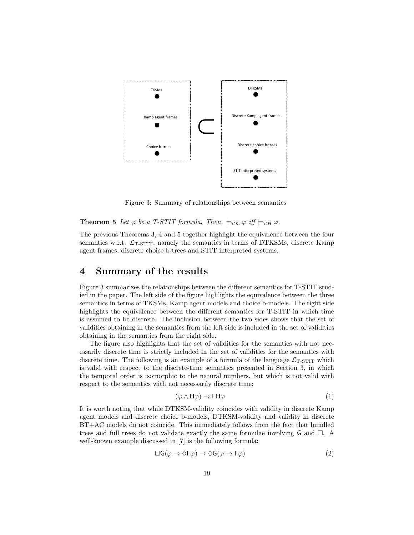

Figure 3: Summary of relationships between semantics

**Theorem 5** Let  $\varphi$  be a T-STIT formula. Then,  $\models_{\mathcal{D}\mathcal{K}} \varphi$  iff  $\models_{\mathcal{D}\mathcal{B}} \varphi$ .

The previous Theorems 3, 4 and 5 together highlight the equivalence between the four semantics w.r.t.  $\mathcal{L}_{\text{T-STIT}}$ , namely the semantics in terms of DTKSMs, discrete Kamp agent frames, discrete choice b-trees and STIT interpreted systems.

### 4 Summary of the results

Figure 3 summarizes the relationships between the different semantics for T-STIT studied in the paper. The left side of the figure highlights the equivalence between the three semantics in terms of TKSMs, Kamp agent models and choice b-models. The right side highlights the equivalence between the different semantics for T-STIT in which time is assumed to be discrete. The inclusion between the two sides shows that the set of validities obtaining in the semantics from the left side is included in the set of validities obtaining in the semantics from the right side.

The figure also highlights that the set of validities for the semantics with not necessarily discrete time is strictly included in the set of validities for the semantics with discrete time. The following is an example of a formula of the language  $\mathcal{L}_{\text{T-STIT}}$  which is valid with respect to the discrete-time semantics presented in Section 3, in which the temporal order is isomorphic to the natural numbers, but which is not valid with respect to the semantics with not necessarily discrete time:

$$
(\varphi \wedge \mathsf{H}\varphi) \to \mathsf{FH}\varphi \tag{1}
$$

It is worth noting that while DTKSM-validity coincides with validity in discrete Kamp agent models and discrete choice b-models, DTKSM-validity and validity in discrete BT+AC models do not coincide. This immediately follows from the fact that bundled trees and full trees do not validate exactly the same formulae involving  $\mathsf{G}$  and  $\Box$ . well-known example discussed in [7] is the following formula:

$$
\Box G(\varphi \to \Diamond F\varphi) \to \Diamond G(\varphi \to F\varphi)
$$
 (2)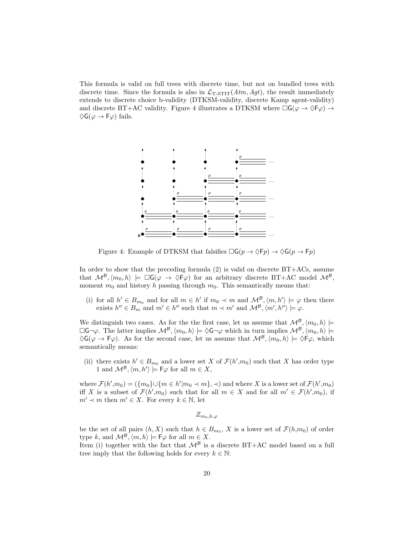This formula is valid on full trees with discrete time, but not on bundled trees with discrete time. Since the formula is also in  $\mathcal{L}_{T-STIT}(Atm, Agt)$ , the result immediately extends to discrete choice b-validity (DTKSM-validity, discrete Kamp agent-validity) and discrete BT+AC validity. Figure 4 illustrates a DTKSM where  $\Box G(\varphi \to \Diamond F\varphi) \to$  $\Diamond G(\varphi \rightarrow F\varphi)$  fails.



Figure 4: Example of DTKSM that falsifies  $\Box G(p \rightarrow \Diamond Fp) \rightarrow \Diamond G(p \rightarrow Fp)$ 

In order to show that the preceding formula  $(2)$  is valid on discrete  $BT+ACS$ , assume that  $\mathcal{M}^{\mathcal{B}},\langle m_0,h\rangle \models \Box \mathsf{G}(\varphi \rightarrow \Diamond \mathsf{F}\varphi)$  for an arbitrary discrete BT+AC model  $\mathcal{M}^{\mathcal{B}},$ moment  $m_0$  and history h passing through  $m_0$ . This semantically means that:

(i) for all  $h' \in B_{m_0}$  and for all  $m \in h'$  if  $m_0 \prec m$  and  $\mathcal{M}^{\mathcal{B}}, \langle m, h' \rangle \models \varphi$  then there exists  $h'' \in B_m$  and  $m' \in h''$  such that  $m \prec m'$  and  $\mathcal{M}^{\mathcal{B}}, \langle m', h'' \rangle \models \varphi$ .

We distinguish two cases. As for the the first case, let us assume that  $\mathcal{M}^{\mathcal{B}},\langle m_0, h \rangle \models$  $\Box G\neg\varphi$ . The latter implies  $\mathcal{M}^{\mathcal{B}},\langle m_0, h \rangle \models \Diamond G\neg\varphi$  which in turn implies  $\mathcal{M}^{\mathcal{B}},\langle m_0, h \rangle \models$  $\Diamond G(\varphi \to F\varphi)$ . As for the second case, let us assume that  $\mathcal{M}^{\mathcal{B}},\langle m_0, h \rangle \models \Diamond F\varphi$ , which semantically means:

(ii) there exists  $h' \in B_{m_0}$  and a lower set X of  $\mathcal{F}(h', m_0)$  such that X has order type 1 and  $\mathcal{M}^{\mathcal{B}}, \langle m, h' \rangle \models \mathsf{F}\varphi$  for all  $m \in X$ ,

where  $\mathcal{F}(h',m_0) = (\{m_0\} \cup \{m \in h'| m_0 \prec m\}, \prec)$  and where X is a lower set of  $\mathcal{F}(h',m_0)$ iff X is a subset of  $\mathcal{F}(h',m_0)$  such that for all  $m \in X$  and for all  $m' \in \mathcal{F}(h',m_0)$ , if  $m' \prec m$  then  $m' \in X$ . For every  $k \in \mathbb{N}$ , let

 $Z_{m_0,k,\varphi}$ 

be the set of all pairs  $(h, X)$  such that  $h \in B_{m_0}$ , X is a lower set of  $\mathcal{F}(h,m_0)$  of order type k, and  $\mathcal{M}^{\mathcal{B}}, \langle m, h \rangle \models \mathsf{F}\varphi$  for all  $m \in X$ .

Item (i) together with the fact that  $\mathcal{M}^{\beta}$  is a discrete BT+AC model based on a full tree imply that the following holds for every  $k \in \mathbb{N}$ :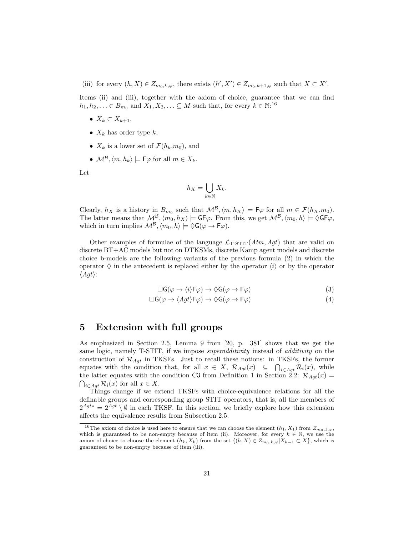(iii) for every  $(h, X) \in Z_{m_0, k, \varphi}$ , there exists  $(h', X') \in Z_{m_0, k+1, \varphi}$  such that  $X \subset X'$ .

Items (ii) and (iii), together with the axiom of choice, guarantee that we can find  $h_1, h_2, \ldots \in B_{m_0}$  and  $X_1, X_2, \ldots \subseteq M$  such that, for every  $k \in \mathbb{N}$ <sup>16</sup>

- $X_k \subset X_{k+1}$ ,
- $X_k$  has order type k,
- $X_k$  is a lower set of  $\mathcal{F}(h_k,m_0)$ , and
- $\mathcal{M}^{\mathcal{B}}, \langle m, h_k \rangle \models \mathsf{F}\varphi$  for all  $m \in X_k$ .

Let

$$
h_X = \bigcup_{k \in \mathbb{N}} X_k.
$$

Clearly,  $h_X$  is a history in  $B_{m_0}$  such that  $\mathcal{M}^{\mathcal{B}}, \langle m, h_X \rangle \models \mathsf{F}\varphi$  for all  $m \in \mathcal{F}(h_X,m_0)$ . The latter means that  $\mathcal{M}^{\mathcal{B}},\langle m_0,h_X\rangle \models$  GF $\varphi$ . From this, we get  $\mathcal{M}^{\mathcal{B}},\langle m_0,h\rangle \models \Diamond$ GF $\varphi$ , which in turn implies  $\mathcal{M}^{\mathcal{B}},\langle m_0, h \rangle \models \Diamond \mathsf{G}(\varphi \to \mathsf{F}\varphi).$ 

Other examples of formulae of the language  $\mathcal{L}_{\text{T-STIT}}(Atm, Agt)$  that are valid on discrete BT+AC models but not on DTKSMs, discrete Kamp agent models and discrete choice b-models are the following variants of the previous formula (2) in which the operator  $\Diamond$  in the antecedent is replaced either by the operator  $\langle i \rangle$  or by the operator  $\langle Agt \rangle$ :

$$
\Box G(\varphi \to \langle i \rangle \mathsf{F}\varphi) \to \Diamond G(\varphi \to \mathsf{F}\varphi) \tag{3}
$$

$$
\Box G(\varphi \to \langle Agt \rangle \mathsf{F}\varphi) \to \Diamond G(\varphi \to \mathsf{F}\varphi)
$$
\n(4)

# 5 Extension with full groups

As emphasized in Section 2.5, Lemma 9 from [20, p. 381] shows that we get the same logic, namely T-STIT, if we impose *superadditivity* instead of *additivity* on the construction of  $\mathcal{R}_{Aqt}$  in TKSFs. Just to recall these notions: in TKSFs, the former equates with the condition that, for all  $x \in X$ ,  $\mathcal{R}_{Agt}(x) \subseteq \bigcap_{i \in Agt} \mathcal{R}_i(x)$ , while the latter equates with the condition C3 from Definition 1 in Section 2.2:  $\mathcal{R}_{Aqt}(x)$  =  $\bigcap_{i\in Agt} \mathcal{R}_i(x)$  for all  $x \in X$ .

Things change if we extend TKSFs with choice-equivalence relations for all the definable groups and corresponding group STIT operators, that is, all the members of  $2^{Agt*} = 2^{Agt} \setminus \emptyset$  in each TKSF. In this section, we briefly explore how this extension affects the equivalence results from Subsection 2.5.

<sup>&</sup>lt;sup>16</sup>The axiom of choice is used here to ensure that we can choose the element  $(h_1, X_1)$  from  $Z_{m_0,1,\varphi}$ , which is guaranteed to be non-empty because of item (ii). Moreover, for every  $k \in \mathbb{N}$ , we use the axiom of choice to choose the element  $(h_k, X_k)$  from the set  $\{(h, X) \in Z_{m_0,k,\varphi} | X_{k-1} \subset X\}$ , which is guaranteed to be non-empty because of item (iii).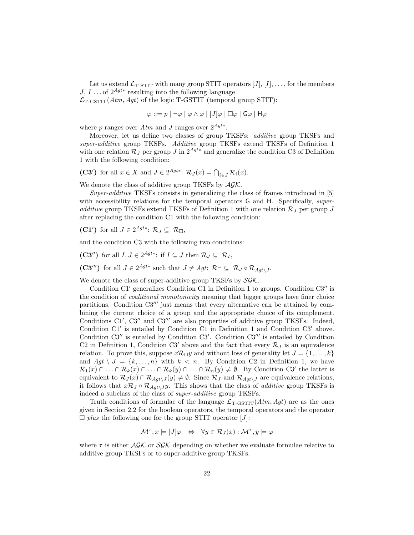Let us extend  $\mathcal{L}_{T-STIT}$  with many group STIT operators  $[J], [I], \ldots$ , for the members  $J, I \dots$  of  $2^{Agt*}$  resulting into the following language  $\mathcal{L}_{\text{T-GSTIT}}(Atm, Agt)$  of the logic T-GSTIT (temporal group STIT):

$$
\varphi ::= p | \neg \varphi | \varphi \land \varphi | [J] \varphi | \Box \varphi | G \varphi | H \varphi
$$

where p ranges over  $Atm$  and J ranges over  $2^{Agt*}$ .

Moreover, let us define two classes of group TKSFs: *additive* group TKSFs and super-additive group TKSFs. Additive group TKSFs extend TKSFs of Definition 1 with one relation  $\mathcal{R}_J$  per group J in  $2^{Agt*}$  and generalize the condition C3 of Definition 1 with the following condition:

(C3') for all  $x \in X$  and  $J \in 2^{Agt*}: \mathcal{R}_J(x) = \bigcap_{i \in J} \mathcal{R}_i(x)$ .

We denote the class of additive group TKSFs by  $AGK$ .

Super-additive TKSFs consists in generalizing the class of frames introduced in [5] with accessibility relations for the temporal operators G and H. Specifically, superadditive group TKSFs extend TKSFs of Definition 1 with one relation  $\mathcal{R}_J$  per group J after replacing the condition C1 with the following condition:

(C1') for all  $J \in 2^{Agt*}$ :  $\mathcal{R}_J \subseteq \mathcal{R}_{\Box}$ ,

and the condition C3 with the following two conditions:

(C3") for all  $I, J \in 2^{Agt*}$ : if  $I \subseteq J$  then  $\mathcal{R}_J \subseteq \mathcal{R}_I$ ,

 $(\mathbf{C3}^{"})$  for all  $J \in 2^{Agt*}$  such that  $J \neq Agt: \mathcal{R}_{\Box} \subseteq \mathcal{R}_{J} \circ \mathcal{R}_{Agt\setminus J}$ .

We denote the class of super-additive group TKSFs by  $S\mathcal{GK}$ .

Condition C1<sup> $\prime$ </sup> generalizes Condition C1 in Definition 1 to groups. Condition C3<sup> $\prime\prime$ </sup> is the condition of coalitional monotonicity meaning that bigger groups have finer choice partitions. Condition  $C3^{\prime\prime\prime}$  just means that every alternative can be attained by combining the current choice of a group and the appropriate choice of its complement. Conditions C1', C3" and C3" are also properties of additive group TKSFs. Indeed, Condition  $Cl'$  is entailed by Condition C1 in Definition 1 and Condition  $Cl'$  above. Condition C3" is entailed by Condition C3'. Condition C3" is entailed by Condition C2 in Definition 1, Condition C3' above and the fact that every  $\mathcal{R}_J$  is an equivalence relation. To prove this, suppose  $x\mathcal{R}_{\Box}y$  and without loss of generality let  $J = \{1, \ldots, k\}$ and  $Agt \ I = \{k, \ldots, n\}$  with  $k < n$ . By Condition C2 in Definition 1, we have  $\mathcal{R}_1(x) \cap \ldots \cap \mathcal{R}_k(x) \cap \ldots \cap \mathcal{R}_k(y) \cap \ldots \cap \mathcal{R}_n(y) \neq \emptyset$ . By Condition C3' the latter is equivalent to  $\mathcal{R}_J(x) \cap \mathcal{R}_{Aqt\setminus J}(y) \neq \emptyset$ . Since  $\mathcal{R}_J$  and  $\mathcal{R}_{Aqt\setminus J}$  are equivalence relations, it follows that  $x\mathcal{R}_J \circ \mathcal{R}_{Aqt\setminus J}y$ . This shows that the class of *additive* group TKSFs is indeed a subclass of the class of super-additive group TKSFs.

Truth conditions of formulae of the language  $\mathcal{L}_{\text{T-GSTIT}}(Atm, Agt)$  are as the ones given in Section 2.2 for the boolean operators, the temporal operators and the operator  $\Box$  plus the following one for the group STIT operator [J]:

$$
\mathcal{M}^{\tau}, x \models [J]\varphi \Leftrightarrow \forall y \in \mathcal{R}_J(x) : \mathcal{M}^{\tau}, y \models \varphi
$$

where  $\tau$  is either  $\mathcal{AGK}$  or  $\mathcal{SGK}$  depending on whether we evaluate formulae relative to additive group TKSFs or to super-additive group TKSFs.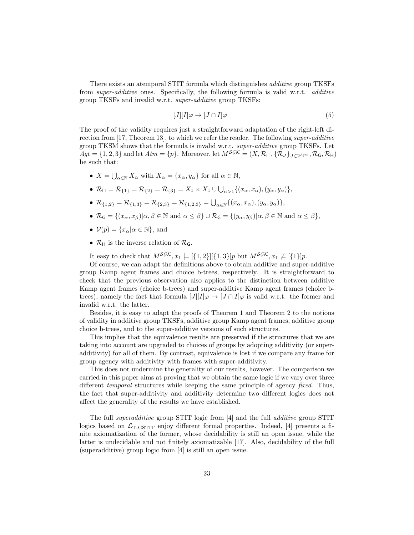There exists an atemporal STIT formula which distinguishes additive group TKSFs from super-additive ones. Specifically, the following formula is valid w.r.t. additive group TKSFs and invalid w.r.t. super-additive group TKSFs:

$$
[J][I]\varphi \to [J \cap I]\varphi \tag{5}
$$

The proof of the validity requires just a straightforward adaptation of the right-left direction from [17, Theorem 13], to which we refer the reader. The following super-additive group TKSM shows that the formula is invalid w.r.t. super-additive group TKSFs. Let  $\widetilde{A}gt = \{1, 2, 3\}$  and let  $Atm = \{p\}$ . Moreover, let  $M^{\mathcal{SGK}} = (X, \mathcal{R}_{\Box}, \{\mathcal{R}_{J}\}_{J\in{2^{Agt *}}}, \mathcal{R}_{\mathsf{G}}, \mathcal{R}_{\mathsf{H}})$ be such that:

- $X = \bigcup_{\alpha \in \mathbb{N}} X_{\alpha}$  with  $X_{\alpha} = \{x_{\alpha}, y_{\alpha}\}\)$  for all  $\alpha \in \mathbb{N}$ ,
- $\mathcal{R}_{\Box} = \mathcal{R}_{\{1\}} = \mathcal{R}_{\{2\}} = \mathcal{R}_{\{3\}} = X_1 \times X_1 \cup \bigcup_{\alpha > 1} \{(x_\alpha, x_\alpha), (y_\alpha, y_\alpha)\},\$
- $\mathcal{R}_{\{1,2\}} = \mathcal{R}_{\{1,3\}} = \mathcal{R}_{\{2,3\}} = \mathcal{R}_{\{1,2,3\}} = \bigcup_{\alpha \in \mathbb{N}} \{(x_\alpha, x_\alpha), (y_\alpha, y_\alpha)\},\$
- $\mathcal{R}_{\mathsf{G}} = \{(x_{\alpha}, x_{\beta}) | \alpha, \beta \in \mathbb{N} \text{ and } \alpha \leq \beta\} \cup \mathcal{R}_{\mathsf{G}} = \{(y_{\alpha}, y_{\beta}) | \alpha, \beta \in \mathbb{N} \text{ and } \alpha \leq \beta\},\$
- $V(p) = \{x_\alpha | \alpha \in \mathbb{N}\}\text{, and}$
- $\mathcal{R}_{H}$  is the inverse relation of  $\mathcal{R}_{G}$ .

It easy to check that  $M^{SgK}, x_1 \models [{1,2}][{1,3}]p$  but  $M^{SgK}, x_1 \not\models [{1}]\,p$ .

Of course, we can adapt the definitions above to obtain additive and super-additive group Kamp agent frames and choice b-trees, respectively. It is straightforward to check that the previous observation also applies to the distinction between additive Kamp agent frames (choice b-trees) and super-additive Kamp agent frames (choice btrees), namely the fact that formula  $[J][I]\varphi \to [J \cap I]\varphi$  is valid w.r.t. the former and invalid w.r.t. the latter.

Besides, it is easy to adapt the proofs of Theorem 1 and Theorem 2 to the notions of validity in additive group TKSFs, additive group Kamp agent frames, additive group choice b-trees, and to the super-additive versions of such structures.

This implies that the equivalence results are preserved if the structures that we are taking into account are upgraded to choices of groups by adopting additivity (or superadditivity) for all of them. By contrast, equivalence is lost if we compare any frame for group agency with additivity with frames with super-additivity.

This does not undermine the generality of our results, however. The comparison we carried in this paper aims at proving that we obtain the same logic if we vary over three different *temporal* structures while keeping the same principle of agency *fixed*. Thus, the fact that super-additivity and additivity determine two different logics does not affect the generality of the results we have established.

The full superadditive group STIT logic from [4] and the full additive group STIT logics based on  $\mathcal{L}_{\text{T-GSTIT}}$  enjoy different formal properties. Indeed, [4] presents a finite axiomatization of the former, whose decidability is still an open issue, while the latter is undecidable and not finitely axiomatizable [17]. Also, decidability of the full (superadditive) group logic from [4] is still an open issue.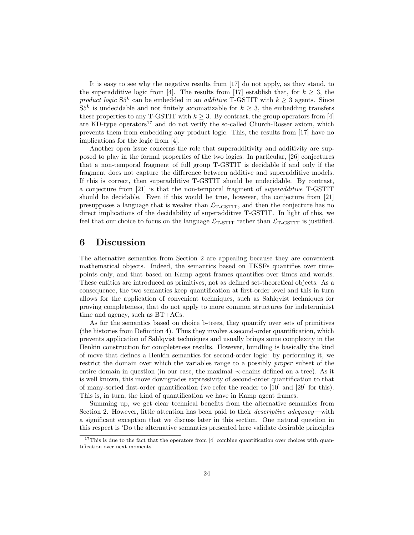It is easy to see why the negative results from [17] do not apply, as they stand, to the superadditive logic from [4]. The results from [17] establish that, for  $k \geq 3$ , the product logic  $S5^k$  can be embedded in an *additive* T-GSTIT with  $k \geq 3$  agents. Since  $S5<sup>k</sup>$  is undecidable and not finitely axiomatizable for  $k \geq 3$ , the embedding transfers these properties to any T-GSTIT with  $k \geq 3$ . By contrast, the group operators from [4] are KD-type operators<sup>17</sup> and do not verify the so-called Church-Rosser axiom, which prevents them from embedding any product logic. This, the results from [17] have no implications for the logic from [4].

Another open issue concerns the role that superadditivity and additivity are supposed to play in the formal properties of the two logics. In particular, [26] conjectures that a non-temporal fragment of full group T-GSTIT is decidable if and only if the fragment does not capture the difference between additive and superadditive models. If this is correct, then superadditive T-GSTIT should be undecidable. By contrast, a conjecture from [21] is that the non-temporal fragment of superadditive T-GSTIT should be decidable. Even if this would be true, however, the conjecture from [21] presupposes a language that is weaker than  $\mathcal{L}_{T\text{-GSTIT}}$ , and then the conjecture has no direct implications of the decidability of superadditive T-GSTIT. In light of this, we feel that our choice to focus on the language  $\mathcal{L}_{\text{T-STIT}}$  rather than  $\mathcal{L}_{\text{T-GSTIT}}$  is justified.

# 6 Discussion

The alternative semantics from Section 2 are appealing because they are convenient mathematical objects. Indeed, the semantics based on TKSFs quantifies over timepoints only, and that based on Kamp agent frames quantifies over times and worlds. These entities are introduced as primitives, not as defined set-theoretical objects. As a consequence, the two semantics keep quantification at first-order level and this in turn allows for the application of convenient techniques, such as Sahlqvist techniques for proving completeness, that do not apply to more common structures for indeterminist time and agency, such as BT+ACs.

As for the semantics based on choice b-trees, they quantify over sets of primitives (the histories from Definition 4). Thus they involve a second-order quantification, which prevents application of Sahlqvist techniques and usually brings some complexity in the Henkin construction for completeness results. However, bundling is basically the kind of move that defines a Henkin semantics for second-order logic: by performing it, we restrict the domain over which the variables range to a possibly proper subset of the entire domain in question (in our case, the maximal ≺-chains defined on a tree). As it is well known, this move downgrades expressivity of second-order quantification to that of many-sorted first-order quantification (we refer the reader to [10] and [29] for this). This is, in turn, the kind of quantification we have in Kamp agent frames.

Summing up, we get clear technical benefits from the alternative semantics from Section 2. However, little attention has been paid to their *descriptive adequacy*—with a significant exception that we discuss later in this section. One natural question in this respect is 'Do the alternative semantics presented here validate desirable principles

<sup>&</sup>lt;sup>17</sup>This is due to the fact that the operators from [4] combine quantification over choices with quantification over next moments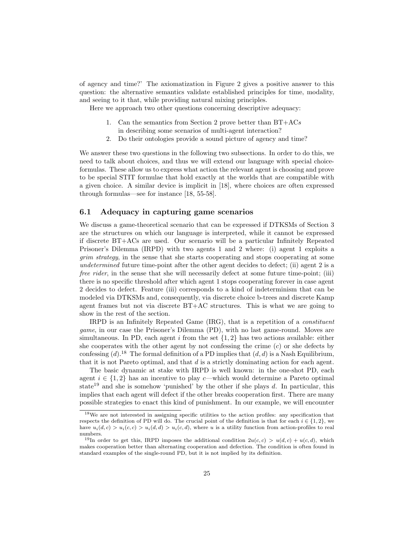of agency and time?' The axiomatization in Figure 2 gives a positive answer to this question: the alternative semantics validate established principles for time, modality, and seeing to it that, while providing natural mixing principles.

Here we approach two other questions concerning descriptive adequacy:

- 1. Can the semantics from Section 2 prove better than  $BT+ACs$ in describing some scenarios of multi-agent interaction?
- 2. Do their ontologies provide a sound picture of agency and time?

We answer these two questions in the following two subsections. In order to do this, we need to talk about choices, and thus we will extend our language with special choiceformulas. These allow us to express what action the relevant agent is choosing and prove to be special STIT formulae that hold exactly at the worlds that are compatible with a given choice. A similar device is implicit in [18], where choices are often expressed through formulas—see for instance [18, 55-58].

### 6.1 Adequacy in capturing game scenarios

We discuss a game-theoretical scenario that can be expressed if DTKSMs of Section 3 are the structures on which our language is interpreted, while it cannot be expressed if discrete BT+ACs are used. Our scenario will be a particular Infinitely Repeated Prisoner's Dilemma (IRPD) with two agents 1 and 2 where: (i) agent 1 exploits a grim strategy, in the sense that she starts cooperating and stops cooperating at some undetermined future time-point after the other agent decides to defect; (ii) agent 2 is a free rider, in the sense that she will necessarily defect at some future time-point; (iii) there is no specific threshold after which agent 1 stops cooperating forever in case agent 2 decides to defect. Feature (iii) corresponds to a kind of indeterminism that can be modeled via DTKSMs and, consequently, via discrete choice b-trees and discrete Kamp agent frames but not via discrete BT+AC structures. This is what we are going to show in the rest of the section.

IRPD is an Infinitely Repeated Game (IRG), that is a repetition of a constituent game, in our case the Prisoner's Dilemma (PD), with no last game-round. Moves are simultaneous. In PD, each agent  $i$  from the set  $\{1,2\}$  has two actions available: either she cooperates with the other agent by not confessing the crime  $(c)$  or she defects by confessing  $(d)$ .<sup>18</sup> The formal definition of a PD implies that  $(d, d)$  is a Nash Equilibrium, that it is not Pareto optimal, and that d is a strictly dominating action for each agent.

The basic dynamic at stake with IRPD is well known: in the one-shot PD, each agent  $i \in \{1,2\}$  has an incentive to play c—which would determine a Pareto optimal state<sup>19</sup> and she is somehow 'punished' by the other if she plays d. In particular, this implies that each agent will defect if the other breaks cooperation first. There are many possible strategies to enact this kind of punishment. In our example, we will encounter

<sup>18</sup>We are not interested in assigning specific utilities to the action profiles: any specification that respects the definition of PD will do. The crucial point of the definition is that for each  $i \in \{1, 2\}$ , we have  $u_i(d, c) > u_i(c, c) > u_i(d, d) > u_i(c, d)$ , where u is a utility function from action-profiles to real numbers.

<sup>&</sup>lt;sup>19</sup>In order to get this, IRPD imposes the additional condition  $2u(c, c) > u(d, c) + u(c, d)$ , which makes cooperation better than alternating cooperation and defection. The condition is often found in standard examples of the single-round PD, but it is not implied by its definition.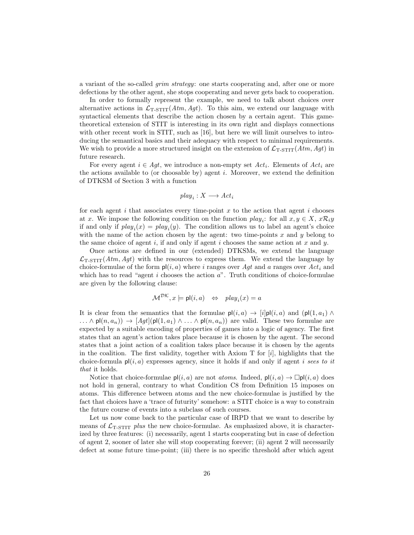a variant of the so-called grim strategy: one starts cooperating and, after one or more defections by the other agent, she stops cooperating and never gets back to cooperation.

In order to formally represent the example, we need to talk about choices over alternative actions in  $\mathcal{L}_{T\text{-STIT}}(Atm, Agt)$ . To this aim, we extend our language with syntactical elements that describe the action chosen by a certain agent. This gametheoretical extension of STIT is interesting in its own right and displays connections with other recent work in STIT, such as [16], but here we will limit ourselves to introducing the semantical basics and their adequacy with respect to minimal requirements. We wish to provide a more structured insight on the extension of  $\mathcal{L}_{\text{T-STIT}}(Atm, Agt)$  in future research.

For every agent  $i \in Agt$ , we introduce a non-empty set  $Act_i$ . Elements of  $Act_i$  are the actions available to (or choosable by) agent  $i$ . Moreover, we extend the definition of DTKSM of Section 3 with a function

$$
play_i: X \longrightarrow Act_i
$$

for each agent  $i$  that associates every time-point  $x$  to the action that agent  $i$  chooses at x. We impose the following condition on the function  $play_i$ : for all  $x, y \in X$ ,  $x\mathcal{R}_i y$ if and only if  $play_i(x) = play_i(y)$ . The condition allows us to label an agent's choice with the name of the action chosen by the agent: two time-points  $x$  and  $y$  belong to the same choice of agent i, if and only if agent i chooses the same action at  $x$  and  $y$ .

Once actions are defined in our (extended) DTKSMs, we extend the language  $\mathcal{L}_{\text{T-STIT}}(Atm, Agt)$  with the resources to express them. We extend the language by choice-formulae of the form  $p(i, a)$  where i ranges over Aqt and a ranges over Act<sub>i</sub> and which has to read "agent  $i$  chooses the action  $a$ ". Truth conditions of choice-formulae are given by the following clause:

$$
\mathcal{M}^{\mathcal{DK}}, x \models \mathsf{pl}(i, a) \quad \Leftrightarrow \quad play_i(x) = a
$$

It is clear from the semantics that the formulae  $p\vert (i, a) \rightarrow [i] p\vert (i, a)$  and  $(p\vert (1, a_1) \wedge p)$  $\ldots \wedge \mathsf{p}(\{n, a_n\}) \rightarrow [Agt](\mathsf{p}(\{1, a_1\}) \wedge \ldots \wedge \mathsf{p}(\{n, a_n\}))$  are valid. These two formulae are expected by a suitable encoding of properties of games into a logic of agency. The first states that an agent's action takes place because it is chosen by the agent. The second states that a joint action of a coalition takes place because it is chosen by the agents in the coalition. The first validity, together with Axiom T for  $[i]$ , highlights that the choice-formula  $p(i, a)$  expresses agency, since it holds if and only if agent *i* sees to it that it holds.

Notice that choice-formulae  $p(i, a)$  are not *atoms*. Indeed,  $p(i, a) \rightarrow \Box p(i, a)$  does not hold in general, contrary to what Condition C8 from Definition 15 imposes on atoms. This difference between atoms and the new choice-formulae is justified by the fact that choices have a 'trace of futurity' somehow: a STIT choice is a way to constrain the future course of events into a subclass of such courses.

Let us now come back to the particular case of IRPD that we want to describe by means of  $\mathcal{L}_{T-STIT}$  plus the new choice-formulae. As emphasized above, it is characterized by three features: (i) necessarily, agent 1 starts cooperating but in case of defection of agent 2, sooner of later she will stop cooperating forever; (ii) agent 2 will necessarily defect at some future time-point; (iii) there is no specific threshold after which agent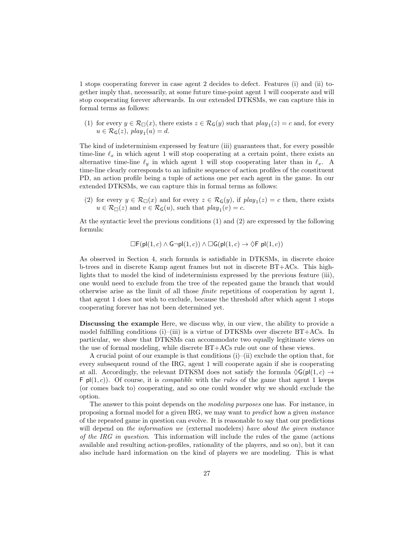1 stops cooperating forever in case agent 2 decides to defect. Features (i) and (ii) together imply that, necessarily, at some future time-point agent 1 will cooperate and will stop cooperating forever afterwards. In our extended DTKSMs, we can capture this in formal terms as follows:

(1) for every  $y \in \mathcal{R}_{\Box}(x)$ , there exists  $z \in \mathcal{R}_{\mathsf{G}}(y)$  such that  $play_1(z) = c$  and, for every  $u \in \mathcal{R}_{\mathsf{G}}(z)$ ,  $play_1(u) = d$ .

The kind of indeterminism expressed by feature (iii) guarantees that, for every possible time-line  $\ell_x$  in which agent 1 will stop cooperating at a certain point, there exists an alternative time-line  $\ell_y$  in which agent 1 will stop cooperating later than in  $\ell_x$ . A time-line clearly corresponds to an infinite sequence of action profiles of the constituent PD, an action profile being a tuple of actions one per each agent in the game. In our extended DTKSMs, we can capture this in formal terms as follows:

(2) for every  $y \in \mathcal{R}_{\Box}(x)$  and for every  $z \in \mathcal{R}_{\mathsf{G}}(y)$ , if  $play_1(z) = c$  then, there exists  $u \in \mathcal{R}_{\Box}(z)$  and  $v \in \mathcal{R}_{\mathsf{G}}(u)$ , such that  $play_1(v) = c$ .

At the syntactic level the previous conditions (1) and (2) are expressed by the following formula:

$$
\Box \mathsf{F}(\mathsf{pl}(1,c) \land \mathsf{G} \neg \mathsf{pl}(1,c)) \land \Box \mathsf{G}(\mathsf{pl}(1,c) \rightarrow \Diamond \mathsf{F} \mathsf{pl}(1,c))
$$

As observed in Section 4, such formula is satisfiable in DTKSMs, in discrete choice b-trees and in discrete Kamp agent frames but not in discrete BT+ACs. This highlights that to model the kind of indeterminism expressed by the previous feature (iii), one would need to exclude from the tree of the repeated game the branch that would otherwise arise as the limit of all those finite repetitions of cooperation by agent 1, that agent 1 does not wish to exclude, because the threshold after which agent 1 stops cooperating forever has not been determined yet.

Discussing the example Here, we discuss why, in our view, the ability to provide a model fulfilling conditions (i)–(iii) is a virtue of DTKSMs over discrete  $BT+ACS$ . In particular, we show that DTKSMs can accommodate two equally legitimate views on the use of formal modeling, while discrete BT+ACs rule out one of these views.

A crucial point of our example is that conditions  $(i)$ –(ii) exclude the option that, for every subsequent round of the IRG, agent 1 will cooperate again if she is cooperating at all. Accordingly, the relevant DTKSM does not satisfy the formula  $\Diamond G(p|(1, c) \rightarrow$  $\mathsf{F}$  pl(1, c)). Of course, it is *compatible* with the *rules* of the game that agent 1 keeps (or comes back to) cooperating, and so one could wonder why we should exclude the option.

The answer to this point depends on the *modeling purposes* one has. For instance, in proposing a formal model for a given IRG, we may want to predict how a given instance of the repeated game in question can evolve. It is reasonable to say that our predictions will depend on the information we (external modelers) have about the given instance of the IRG in question. This information will include the rules of the game (actions available and resulting action-profiles, rationality of the players, and so on), but it can also include hard information on the kind of players we are modeling. This is what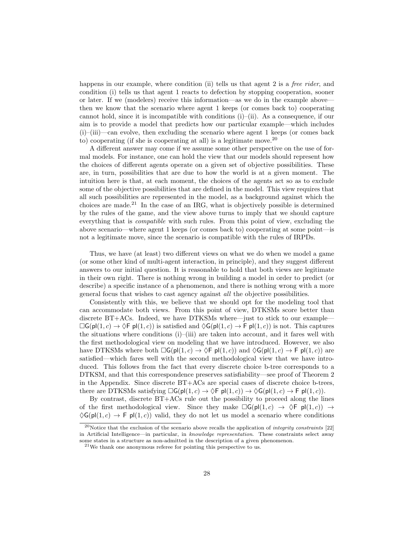happens in our example, where condition (ii) tells us that agent 2 is a *free rider*, and condition (i) tells us that agent 1 reacts to defection by stopping cooperation, sooner or later. If we (modelers) receive this information—as we do in the example above then we know that the scenario where agent 1 keeps (or comes back to) cooperating cannot hold, since it is incompatible with conditions (i)–(ii). As a consequence, if our aim is to provide a model that predicts how our particular example—which includes  $(i)$ – $(iii)$  –can evolve, then excluding the scenario where agent 1 keeps (or comes back to) cooperating (if she is cooperating at all) is a legitimate move.<sup>20</sup>

A different answer may come if we assume some other perspective on the use of formal models. For instance, one can hold the view that our models should represent how the choices of different agents operate on a given set of objective possibilities. These are, in turn, possibilities that are due to how the world is at a given moment. The intuition here is that, at each moment, the choices of the agents act so as to exclude some of the objective possibilities that are defined in the model. This view requires that all such possibilities are represented in the model, as a background against which the choices are made.<sup>21</sup> In the case of an IRG, what is objectively possible is determined by the rules of the game, and the view above turns to imply that we should capture everything that is compatible with such rules. From this point of view, excluding the above scenario—where agent 1 keeps (or comes back to) cooperating at some point—is not a legitimate move, since the scenario is compatible with the rules of IRPDs.

Thus, we have (at least) two different views on what we do when we model a game (or some other kind of multi-agent interaction, in principle), and they suggest different answers to our initial question. It is reasonable to hold that both views are legitimate in their own right. There is nothing wrong in building a model in order to predict (or describe) a specific instance of a phenomenon, and there is nothing wrong with a more general focus that wishes to cast agency against all the objective possibilities.

Consistently with this, we believe that we should opt for the modeling tool that can accommodate both views. From this point of view, DTKSMs score better than discrete BT+ACs. Indeed, we have DTKSMs where—just to stick to our example—  $\Box G(\mathsf{p}l(1,c) \rightarrow \Diamond \mathsf{F} \mathsf{p}l(1,c))$  is satisfied and  $\Diamond G(\mathsf{p}l(1,c) \rightarrow \mathsf{F} \mathsf{p}l(1,c))$  is not. This captures the situations where conditions (i)–(iii) are taken into account, and it fares well with the first methodological view on modeling that we have introduced. However, we also have DTKSMs where both  $\Box G(p(1, c) \rightarrow \Diamond F p(1, c))$  and  $\Diamond G(p(1, c) \rightarrow F p(1, c))$  are satisfied—which fares well with the second methodological view that we have introduced. This follows from the fact that every discrete choice b-tree corresponds to a DTKSM, and that this correspondence preserves satisfiability—see proof of Theorem 2 in the Appendix. Since discrete BT+ACs are special cases of discrete choice b-trees, there are DTKSMs satisfying  $\Box G(\mathsf{p}((1,c) \to \Diamond \mathsf{F} \mathsf{p}((1,c)) \to \Diamond G(\mathsf{p}((1,c) \to \mathsf{F} \mathsf{p}((1,c))).$ 

By contrast, discrete BT+ACs rule out the possibility to proceed along the lines of the first methodological view. Since they make  $\Box G(\mathsf{pl}(1,c) \rightarrow \Diamond \mathsf{F} \mathsf{pl}(1,c)) \rightarrow$  $\Diamond G(\mathsf{pl}(1,c) \to \mathsf{F} \mathsf{pl}(1,c))$  valid, they do not let us model a scenario where conditions

<sup>&</sup>lt;sup>20</sup>Notice that the exclusion of the scenario above recalls the application of *integrity constraints* [22] in Artificial Intelligence—in particular, in knowledge representation. These constraints select away some states in a structure as non-admitted in the description of a given phenomenon.

 $^{21}$ We thank one anonymous referee for pointing this perspective to us.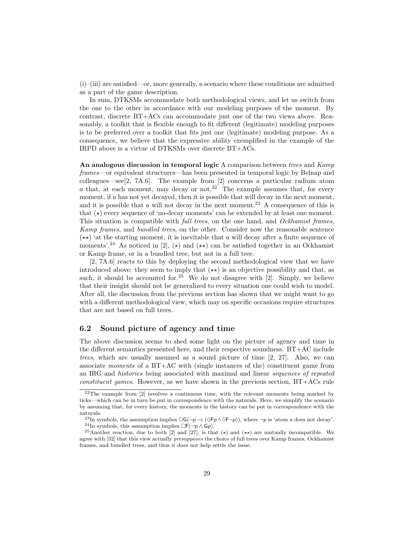(i)–(iii) are satisfied—or, more generally, a scenario where these conditions are admitted as a part of the game description.

In sum, DTKSMs accommodate both methodological views, and let us switch from the one to the other in accordance with our modeling purposes of the moment. By contrast, discrete BT+ACs can accommodate just one of the two views above. Reasonably, a toolkit that is flexible enough to fit different (legitimate) modeling purposes is to be preferred over a toolkit that fits just one (legitimate) modeling purpose. As a consequence, we believe that the expressive ability exemplified in the example of the IRPD above is a virtue of DTKSMs over discrete BT+ACs.

An analogous discussion in temporal logic A comparison between trees and  $Kamp$ frames—or equivalent structures—has been presented in temporal logic by Belnap and colleagues—see[2, 7A.6]. The example from  $[2]$  concerns a particular radium atom a that, at each moment, may decay or not.<sup>22</sup> The example assumes that, for every moment, if  $a$  has not yet decayed, then it is possible that will decay in the next moment, and it is possible that a will not decay in the next moment.<sup>23</sup> A consequence of this is that  $(\star)$  every sequence of 'no-decay moments' can be extended by at least one moment. This situation is compatible with *full trees*, on the one hand, and *Ockhamist frames*, Kamp frames, and bundled trees, on the other. Consider now the reasonable sentence  $(\star \star)$  'at the starting moment, it is inevitable that a will decay after a finite sequence of moments'.<sup>24</sup> As noticed in [2],  $(\star)$  and  $(\star \star)$  can be satisfied together in an Ockhamist or Kamp frame, or in a bundled tree, but not in a full tree.

[2, 7A.6] reacts to this by deploying the second methodological view that we have introduced above: they seem to imply that  $(\star \star)$  is an objective possibility and that, as such, it should be accounted for.<sup>25</sup> We do not disagree with  $[2]$ . Simply, we believe that their insight should not be generalized to every situation one could wish to model. After all, the discussion from the previous section has shown that we might want to go with a different methodological view, which may on specific occasions require structures that are not based on full trees.

### 6.2 Sound picture of agency and time

The above discussion seems to shed some light on the picture of agency and time in the different semantics presented here, and their respective soundness. BT+AC include trees, which are usually assumed as a sound picture of time [2, 27]. Also, we can associate moments of a BT+AC with (single instances of the) constituent game from an IRG and histories being associated with maximal and linear sequences of repeated constituent games. However, as we have shown in the previous section, BT+ACs rule

 $22$ The example from [2] involves a continuous time, with the relevant moments being marked by ticks—which can be in turn be put in correspondence with the naturals. Here, we simplify the scenario by assuming that, for every history, the moments in the history can be put in correspondence with the naturals.

<sup>&</sup>lt;sup>23</sup>In symbols, the assumption implies  $\Box G(\neg p \rightarrow (\Diamond Fp \land \Diamond F\neg p))$ , where  $\neg p$  is 'atom a does not decay'. <sup>24</sup>In symbols, this assumption implies  $\Box F(\neg p \land \Box p)$ .

<sup>&</sup>lt;sup>25</sup>Another reaction, due to both [2] and [27], is that  $(\star)$  and  $(\star\star)$  are mutually incompatible. We agree with [32] that this view actually *presupposes* the choice of full trees over Kamp frames, Ockhamist frames, and bundled trees, and thus it does not help settle the issue.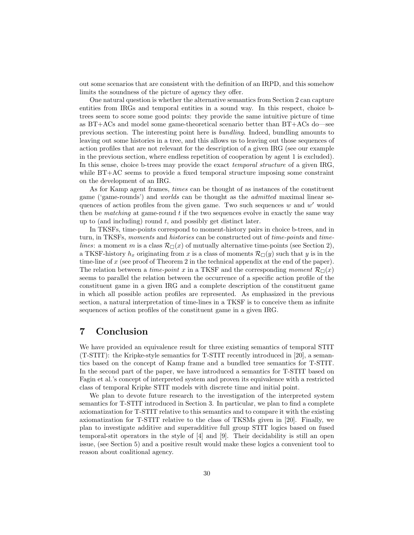out some scenarios that are consistent with the definition of an IRPD, and this somehow limits the soundness of the picture of agency they offer.

One natural question is whether the alternative semantics from Section 2 can capture entities from IRGs and temporal entities in a sound way. In this respect, choice btrees seem to score some good points: they provide the same intuitive picture of time as BT+ACs and model some game-theoretical scenario better than BT+ACs do—see previous section. The interesting point here is bundling. Indeed, bundling amounts to leaving out some histories in a tree, and this allows us to leaving out those sequences of action profiles that are not relevant for the description of a given IRG (see our example in the previous section, where endless repetition of cooperation by agent 1 is excluded). In this sense, choice b-trees may provide the exact *temporal structure* of a given IRG, while BT+AC seems to provide a fixed temporal structure imposing some constraint on the development of an IRG.

As for Kamp agent frames, times can be thought of as instances of the constituent game ('game-rounds') and worlds can be thought as the admitted maximal linear sequences of action profiles from the given game. Two such sequences  $w$  and  $w'$  would then be *matching* at game-round  $t$  if the two sequences evolve in exactly the same way up to (and including) round  $t$ , and possibly get distinct later.

In TKSFs, time-points correspond to moment-history pairs in choice b-trees, and in turn, in TKSFs, moments and histories can be constructed out of time-points and timelines: a moment m is a class  $\mathcal{R}_{\Box}(x)$  of mutually alternative time-points (see Section 2), a TKSF-history  $h_x$  originating from x is a class of moments  $\mathcal{R}_{\Box}(y)$  such that y is in the time-line of x (see proof of Theorem 2 in the technical appendix at the end of the paper). The relation between a time-point x in a TKSF and the corresponding moment  $\mathcal{R}_{\Box}(x)$ seems to parallel the relation between the occurrence of a specific action profile of the constituent game in a given IRG and a complete description of the constituent game in which all possible action profiles are represented. As emphasized in the previous section, a natural interpretation of time-lines in a TKSF is to conceive them as infinite sequences of action profiles of the constituent game in a given IRG.

# 7 Conclusion

We have provided an equivalence result for three existing semantics of temporal STIT (T-STIT): the Kripke-style semantics for T-STIT recently introduced in [20], a semantics based on the concept of Kamp frame and a bundled tree semantics for T-STIT. In the second part of the paper, we have introduced a semantics for T-STIT based on Fagin et al.'s concept of interpreted system and proven its equivalence with a restricted class of temporal Kripke STIT models with discrete time and initial point.

We plan to devote future research to the investigation of the interpreted system semantics for T-STIT introduced in Section 3. In particular, we plan to find a complete axiomatization for T-STIT relative to this semantics and to compare it with the existing axiomatization for T-STIT relative to the class of TKSMs given in [20]. Finally, we plan to investigate additive and superadditive full group STIT logics based on fused temporal-stit operators in the style of [4] and [9]. Their decidability is still an open issue, (see Section 5) and a positive result would make these logics a convenient tool to reason about coalitional agency.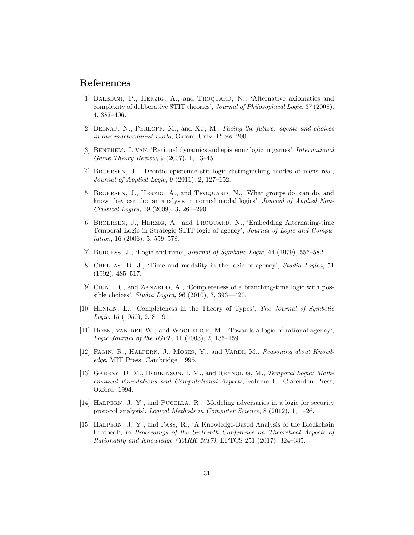# References

- [1] Balbiani, P., Herzig, A., and Troquard, N., 'Alternative axiomatics and complexity of deliberative STIT theories', Journal of Philosophical Logic, 37 (2008), 4, 387–406.
- [2] Belnap, N., Perloff, M., and Xu, M., Facing the future: agents and choices in our indeterminist world, Oxford Univ. Press, 2001.
- [3] BENTHEM, J. VAN, 'Rational dynamics and epistemic logic in games', *International* Game Theory Review, 9 (2007), 1, 13–45.
- [4] Broersen, J., 'Deontic epistemic stit logic distinguishing modes of mens rea', Journal of Applied Logic, 9 (2011), 2, 127–152.
- [5] BROERSEN, J., HERZIG, A., and TROQUARD, N., 'What groups do, can do, and know they can do: an analysis in normal modal logics', Journal of Applied Non-Classical Logics, 19 (2009), 3, 261–290.
- [6] BROERSEN, J., HERZIG, A., and TROQUARD, N., 'Embedding Alternating-time Temporal Logic in Strategic STIT logic of agency', Journal of Logic and Computation, 16 (2006), 5, 559–578.
- [7] Burgess, J., 'Logic and time', Journal of Symbolic Logic, 44 (1979), 556–582.
- [8] Chellas, B. J., 'Time and modality in the logic of agency', Studia Logica, 51 (1992), 485–517.
- [9] Ciuni, R., and Zanardo, A., 'Completeness of a branching-time logic with possible choices', Studia Logica, 96 (2010), 3, 393—420.
- [10] Henkin, L., 'Completeness in the Theory of Types', The Journal of Symbolic Logic, 15  $(1950)$ , 2, 81–91.
- [11] HOEK, VAN DER W., and WOOLRIDGE, M., 'Towards a logic of rational agency', Logic Journal of the IGPL, 11 (2003), 2, 135–159.
- [12] FAGIN, R., HALPERN, J., MOSES, Y., and VARDI, M., Reasoning about Knowledge, MIT Press, Cambridge, 1995.
- [13] GABBAY, D. M., HODKINSON, I. M., and REYNOLDS, M., Temporal Logic: Mathematical Foundations and Computational Aspects, volume 1. Clarendon Press, Oxford, 1994.
- [14] Halpern, J. Y., and Pucella, R., 'Modeling adversaries in a logic for security protocol analysis', Logical Methods in Computer Science, 8 (2012), 1, 1–26.
- [15] Halpern, J. Y., and Pass, R., 'A Knowledge-Based Analysis of the Blockchain Protocol', in Proceedings of the Sixteenth Conference on Theoretical Aspects of Rationality and Knowledge (TARK 2017), EPTCS 251 (2017), 324–335.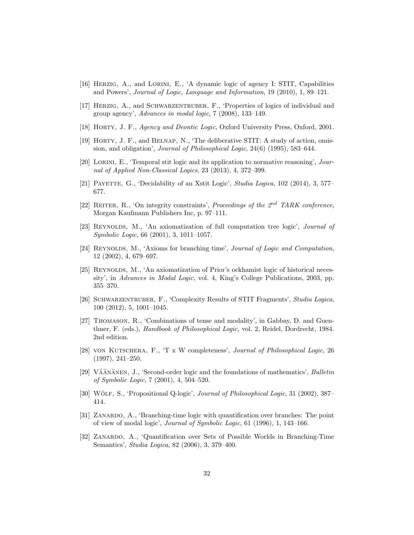- [16] Herzig, A., and Lorini, E., 'A dynamic logic of agency I: STIT, Capabilities and Powers', Journal of Logic, Language and Information, 19 (2010), 1, 89–121.
- [17] Herzig, A., and Schwarzentruber, F., 'Properties of logics of individual and group agency', Advances in modal logic, 7 (2008), 133–149.
- [18] Horty, J. F., Agency and Deontic Logic, Oxford University Press, Oxford, 2001.
- [19] Horty, J. F., and Belnap, N., 'The deliberative STIT: A study of action, omission, and obligation', Journal of Philosophical Logic, 24(6) (1995), 583–644.
- [20] Lorini, E., 'Temporal stit logic and its application to normative reasoning', Journal of Applied Non-Classical Logics, 23 (2013), 4, 372–399.
- [21] PAYETTE, G., 'Decidability of an Xstit Logic', *Studia Logica*,  $102$  (2014), 3, 577– 677.
- [22] REITER, R., 'On integrity constraints', Proceedings of the  $2<sup>nd</sup>$  TARK conference, Morgan Kaufmann Publishers Inc, p. 97–111.
- [23] REYNOLDS, M., 'An axiomatization of full computation tree logic', *Journal of* Symbolic Logic, 66 (2001), 3, 1011–1057.
- [24] REYNOLDS, M., 'Axioms for branching time', Journal of Logic and Computation, 12 (2002), 4, 679–697.
- [25] REYNOLDS, M., 'An axiomatization of Prior's ockhamist logic of historical necessity', in Advances in Modal Logic, vol. 4, King's College Publications, 2003, pp. 355–370.
- [26] Schwarzentruber, F., 'Complexity Results of STIT Fragments', Studia Logica, 100 (2012), 5, 1001–1045.
- [27] Thomason, R., 'Combinations of tense and modality', in Gabbay, D. and Guenthner, F. (eds.), Handbook of Philosophical Logic, vol. 2, Reidel, Dordrecht, 1984. 2nd edition.
- [28] von Kutschera, F., 'T x W completeness', Journal of Philosophical Logic, 26 (1997), 241–250.
- [29] VÄÄNÄNEN, J., 'Second-order logic and the foundations of mathematics', Bulletin of Symbolic Logic, 7 (2001), 4, 504–520.
- [30] WÖLF, S., 'Propositional Q-logic', Journal of Philosophical Logic, 31 (2002), 387– 414.
- [31] ZANARDO, A., 'Branching-time logic with quantification over branches: The point of view of modal logic', Journal of Symbolic Logic, 61 (1996), 1, 143–166.
- [32] ZANARDO, A., 'Quantification over Sets of Possible Worlds in Branching-Time Semantics', Studia Logica, 82 (2006), 3, 379–400.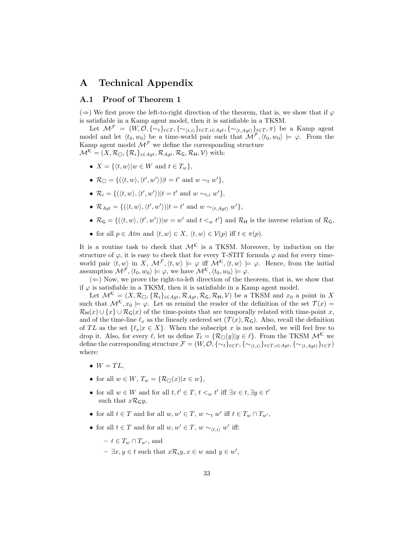# A Technical Appendix

### A.1 Proof of Theorem 1

( $\Rightarrow$ ) We first prove the left-to-right direction of the theorem, that is, we show that if  $\varphi$ is satisfiable in a Kamp agent model, then it is satisfiable in a TKSM.

Let  $\mathcal{M}^{\mathcal{F}} = (W, \mathcal{O}, \{\sim_t\}_{t\in T}, \{\sim_{\langle t,i\rangle}\}_{t\in T, i\in \text{Agt}}, \{\sim_{\langle t, Agt\rangle}\}_{t\in T}, \pi)$  be a Kamp agent model and let  $\langle t_0, w_0 \rangle$  be a time-world pair such that  $\mathcal{M}^{\mathcal{F}}, \langle t_0, w_0 \rangle \models \varphi$ . From the Kamp agent model  $\mathcal{M}^{\mathcal{F}}$  we define the corresponding structure  $\mathcal{M}^{\mathcal{K}} = (X, \mathcal{R}_{\Box}, {\mathcal{R}_{i}}_{i \in \text{Act}}, \mathcal{R}_{\text{Act}}, \mathcal{R}_{\mathsf{G}}, \mathcal{R}_{\mathsf{H}}, \mathcal{V})$  with:

- $X = \{ \langle t, w \rangle | w \in W \text{ and } t \in T_w \},\$
- $\mathcal{R}_{\Box} = \{ (\langle t, w \rangle, \langle t', w' \rangle) | t = t' \text{ and } w \sim_t w' \},\$
- $\mathcal{R}_i = \{(\langle t, w \rangle, \langle t', w' \rangle)| t = t' \text{ and } w \sim_{t,i} w' \},\$
- $\mathcal{R}_{Agt} = \{(\langle t, w \rangle, \langle t', w' \rangle) | t = t' \text{ and } w \sim_{\langle t, Agt \rangle} w' \},\$
- $\mathcal{R}_G = \{(\langle t, w \rangle, \langle t', w' \rangle) | w = w' \text{ and } t \leq w t'\}$  and  $\mathcal{R}_H$  is the inverse relation of  $\mathcal{R}_G$ ,
- for all  $p \in Atm$  and  $\langle t, w \rangle \in X$ ,  $\langle t, w \rangle \in \mathcal{V}(p)$  iff  $t \in \pi(p)$ .

It is a routine task to check that  $\mathcal{M}^{\mathcal{K}}$  is a TKSM. Moreover, by induction on the structure of  $\varphi$ , it is easy to check that for every T-STIT formula  $\varphi$  and for every timeworld pair  $\langle t, w \rangle$  in X,  $\mathcal{M}^{\mathcal{F}}, \langle t, w \rangle \models \varphi$  iff  $\mathcal{M}^{\mathcal{K}}, \langle t, w \rangle \models \varphi$ . Hence, from the initial assumption  $\mathcal{M}^{\mathcal{F}}, \langle t_0, w_0 \rangle \models \varphi$ , we have  $\mathcal{M}^{\mathcal{K}}, \langle t_0, w_0 \rangle \models \varphi$ .

 $(\Leftarrow)$  Now, we prove the right-to-left direction of the theorem, that is, we show that if  $\varphi$  is satisfiable in a TKSM, then it is satisfiable in a Kamp agent model.

Let  $\mathcal{M}^{\mathcal{K}} = (X, \mathcal{R}_{\Box}, {\{\mathcal{R}_i\}}_{i \in Agt}, \mathcal{R}_{Agt}, \mathcal{R}_{\mathsf{G}}, \mathcal{R}_{\mathsf{H}}, \mathcal{V})$  be a TKSM and  $x_0$  a point in X such that  $\mathcal{M}^{\mathcal{K}}$ ,  $x_0 \models \varphi$ . Let us remind the reader of the definition of the set  $\mathcal{T}(x) =$  $\mathcal{R}_{\mathsf{H}}(x) \cup \{x\} \cup \mathcal{R}_{\mathsf{G}}(x)$  of the time-points that are temporally related with time-point x, and of the time-line  $\ell_x$  as the linearly ordered set  $(\mathcal{T}(x), \mathcal{R}_G)$ . Also, recall the definition of TL as the set  $\{\ell_x|x \in X\}$ . When the subscript x is not needed, we will feel free to drop it. Also, for every  $\ell$ , let us define  $T_{\ell} = {\mathcal{R}} \square(y)|y \in \ell$ . From the TKSM  $\mathcal{M}^{\mathcal{K}}$  we define the corresponding structure  $\mathcal{F} = (W, \mathcal{O}, \{\sim_t\}_{t\in T}, \{\sim_{(t,i)}\}_{t\in T, i\in \text{Act}}, \{\sim_{(t, \text{Act})}\}_{t\in T})$ where:

- $W = TL$ ,
- for all  $w \in W$ ,  $T_w = \{ \mathcal{R}_{\Box}(x) | x \in w \},\$
- for all  $w \in W$  and for all  $t, t' \in T$ ,  $t <_w t'$  iff  $\exists x \in t$ ,  $\exists y \in t'$ such that  $x\mathcal{R}_G y$ ,
- for all  $t \in T$  and for all  $w, w' \in T$ ,  $w \sim_t w'$  iff  $t \in T_w \cap T_{w'}$ ,
- for all  $t \in T$  and for all  $w, w' \in T$ ,  $w \sim_{\langle t,i \rangle} w'$  iff:

$$
- t \in T_w \cap T_{w'}, \text{ and}
$$

 $- \exists x, y \in t$  such that  $x\mathcal{R}_i y, x \in w$  and  $y \in w'$ ,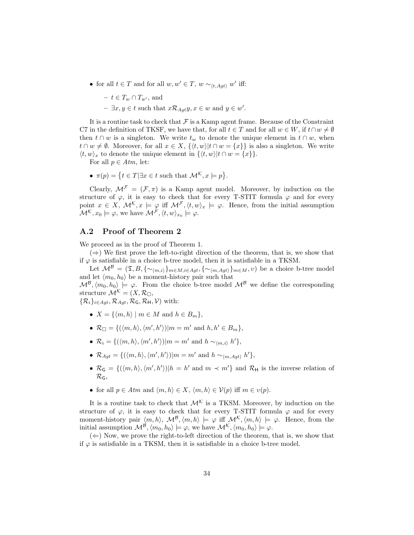• for all  $t \in T$  and for all  $w, w' \in T$ ,  $w \sim_{\langle t, Agt \rangle} w'$  iff:

$$
- t \in T_w \cap T_{w'}, \text{ and}
$$
  

$$
- \exists x, y \in t \text{ such that } x \mathcal{R}_{Agt} y, x \in w \text{ and } y \in w'.
$$

It is a routine task to check that  $\mathcal F$  is a Kamp agent frame. Because of the Constraint C7 in the definition of TKSF, we have that, for all  $t \in T$  and for all  $w \in W$ , if  $t \cap w \neq \emptyset$ then  $t \cap w$  is a singleton. We write  $t_w$  to denote the unique element in  $t \cap w$ , when  $t \cap w \neq \emptyset$ . Moreover, for all  $x \in X$ ,  $\{\langle t, w \rangle | t \cap w = \{x\}\}\$ is also a singleton. We write  $\langle t, w \rangle_x$  to denote the unique element in  $\{\langle t, w \rangle | t \cap w = \{x\}\}.$ 

For all  $p \in Atm$ , let:

•  $\pi(p) = \{t \in T | \exists x \in t \text{ such that } \mathcal{M}^{\mathcal{K}}, x \models p\}.$ 

Clearly,  $\mathcal{M}^{\mathcal{F}} = (\mathcal{F}, \pi)$  is a Kamp agent model. Moreover, by induction on the structure of  $\varphi$ , it is easy to check that for every T-STIT formula  $\varphi$  and for every point  $x \in X$ ,  $\mathcal{M}^{\mathcal{K}}$ ,  $x \models \varphi$  iff  $\mathcal{M}^{\mathcal{F}}$ ,  $\langle t, w \rangle_x \models \varphi$ . Hence, from the initial assumption  $\mathcal{M}^{\mathcal{K}}, x_0 \models \varphi$ , we have  $\mathcal{M}^{\mathcal{F}}, \langle t, w \rangle_{x_0} \models \varphi$ .

#### A.2 Proof of Theorem 2

We proceed as in the proof of Theorem 1.

 $(\Rightarrow)$  We first prove the left-to-right direction of the theorem, that is, we show that if  $\varphi$  is satisfiable in a choice b-tree model, then it is satisfiable in a TKSM.

Let  $\mathcal{M}^{\mathcal{B}} = (\mathfrak{T}, B, \{\sim_{\langle m,i\rangle}\}_{m\in M, i\in Agt}, \{\sim_{\langle m, Agt\rangle}\}_{m\in M}, v)$  be a choice b-tree model and let  $\langle m_0, h_0 \rangle$  be a moment-history pair such that

 $\mathcal{M}^{\mathcal{B}},\langle m_0, h_0 \rangle \models \varphi$ . From the choice b-tree model  $\mathcal{M}^{\mathcal{B}}$  we define the corresponding structure  $\mathcal{M}^{\mathcal{K}} = (X, \mathcal{R}_{\Box},$ 

 $\{\mathcal{R}_i\}_{i\in \text{Aqt}}, \mathcal{R}_{\text{Aat}}, \mathcal{R}_{\text{G}}, \mathcal{R}_{\text{H}}, \mathcal{V})$  with:

- $X = \{ \langle m, h \rangle \mid m \in M \text{ and } h \in B_m \},\$
- $\mathcal{R}_{\Box} = \{(\langle m, h \rangle, \langle m', h' \rangle)| m = m' \text{ and } h, h' \in B_m\},\$
- $\mathcal{R}_i = \{(\langle m, h \rangle, \langle m', h' \rangle)| m = m' \text{ and } h \sim_{\langle m, i \rangle} h' \},\$
- $\mathcal{R}_{Agt} = \{(\langle m, h \rangle, \langle m', h' \rangle)|m = m' \text{ and } h \sim_{\langle m, Agt \rangle} h'\},\$
- $\mathcal{R}_G = \{(\langle m, h \rangle, \langle m', h' \rangle) | h = h' \text{ and } m \prec m' \}$  and  $\mathcal{R}_H$  is the inverse relation of  $\mathcal{R}_{\mathsf{G}}$
- for all  $p \in Atm$  and  $\langle m, h \rangle \in X$ ,  $\langle m, h \rangle \in \mathcal{V}(p)$  iff  $m \in \mathcal{V}(p)$ .

It is a routine task to check that  $\mathcal{M}^{\mathcal{K}}$  is a TKSM. Moreover, by induction on the structure of  $\varphi$ , it is easy to check that for every T-STIT formula  $\varphi$  and for every moment-history pair  $\langle m, h \rangle$ ,  $\mathcal{M}^{\mathcal{B}}, \langle m, h \rangle \models \varphi$  iff  $\mathcal{M}^{\mathcal{K}}, \langle m, h \rangle \models \varphi$ . Hence, from the initial assumption  $\mathcal{M}^{\beta},\langle m_0, h_0 \rangle \models \varphi$ , we have  $\mathcal{M}^{\mathcal{K}},\langle m_0, h_0 \rangle \models \varphi$ .

 $(\Leftarrow)$  Now, we prove the right-to-left direction of the theorem, that is, we show that if  $\varphi$  is satisfiable in a TKSM, then it is satisfiable in a choice b-tree model.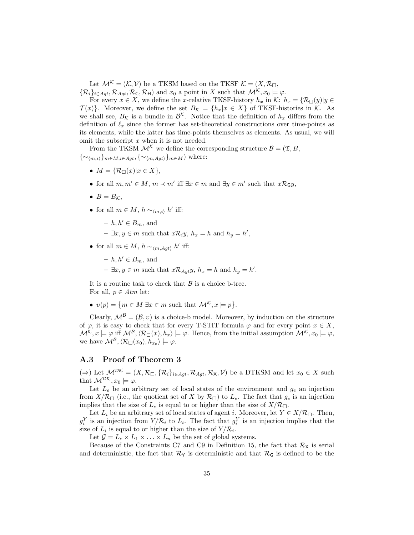Let  $\mathcal{M}^{\mathcal{K}} = (\mathcal{K}, \mathcal{V})$  be a TKSM based on the TKSF  $\mathcal{K} = (X, \mathcal{R}_{\Box}, \mathcal{V})$  $\{\mathcal{R}_i\}_{i\in \mathcal{A}qt}, \mathcal{R}_{\mathcal{A}qt}, \mathcal{R}_{\mathsf{G}}, \mathcal{R}_{\mathsf{H}}\}$  and  $x_0$  a point in X such that  $\mathcal{M}^{\mathcal{K}}, x_0 \models \varphi$ .

For every  $x \in X$ , we define the x-relative TKSF-history  $h_x$  in K:  $h_x = \{ \mathcal{R}_{\Box}(y) | y \in$  $\mathcal{T}(x)$ . Moreover, we define the set  $B_{\mathcal{K}} = \{h_x | x \in X\}$  of TKSF-histories in  $\mathcal{K}$ . As we shall see,  $B_{\mathcal{K}}$  is a bundle in  $\mathcal{B}^{\mathcal{K}}$ . Notice that the definition of  $h_x$  differs from the definition of  $\ell_x$  since the former has set-theoretical constructions over time-points as its elements, while the latter has time-points themselves as elements. As usual, we will omit the subscript  $x$  when it is not needed.

From the TKSM  $\mathcal{M}^{\mathcal{K}}$  we define the corresponding structure  $\mathcal{B} = (\mathfrak{T}, B, \mathfrak{T})$  $\{\sim_{\langle m,i\rangle}\}_{m\in M,i\in Agt}, \{\sim_{\langle m,Aqt\rangle}\}_{m\in M})$  where:

- $M = \{ \mathcal{R}_{\Box}(x) | x \in X \},\$
- for all  $m, m' \in M$ ,  $m \prec m'$  iff  $\exists x \in m$  and  $\exists y \in m'$  such that  $x \mathcal{R}_{\mathsf{G}} y$ ,
- $B = B_{\mathcal{K}},$
- for all  $m \in M$ ,  $h \sim_{\langle m,i \rangle} h'$  iff:
	- $h, h' \in B_m$ , and
	- $\exists x, y \in m$  such that  $x \mathcal{R}_i y, h_x = h$  and  $h_y = h'$ ,
- for all  $m \in M$ ,  $h \sim_{\langle m, Agt \rangle} h'$  iff:
	- $h, h' \in B_m$ , and
	- $\exists x, y \in m$  such that  $x \mathcal{R}_{Agt} y$ ,  $h_x = h$  and  $h_y = h'$ .

It is a routine task to check that  $\beta$  is a choice b-tree. For all,  $p \in Atm$  let:

•  $v(p) = \{m \in M | \exists x \in m \text{ such that } \mathcal{M}^{\mathcal{K}}, x \models p \}.$ 

Clearly,  $\mathcal{M}^{\mathcal{B}} = (\mathcal{B}, v)$  is a choice-b model. Moreover, by induction on the structure of  $\varphi$ , it is easy to check that for every T-STIT formula  $\varphi$  and for every point  $x \in X$ ,  $\mathcal{M}^{\mathcal{K}}, x \models \varphi$  iff  $\mathcal{M}^{\mathcal{B}}, \langle \mathcal{R}_{\Box}(x), h_x \rangle \models \varphi$ . Hence, from the initial assumption  $\mathcal{M}^{\mathcal{K}}, x_0 \models \varphi$ , we have  $\mathcal{M}^{\mathcal{B}}, \langle \mathcal{R}_{\Box}(x_0), h_{x_0} \rangle \models \varphi.$ 

#### A.3 Proof of Theorem 3

 $(\Rightarrow)$  Let  $\mathcal{M}^{\mathcal{DK}} = (X, \mathcal{R}_{\Box}, {\{\mathcal{R}_i\}}_{i \in \text{Aqt}}, \mathcal{R}_{\text{Aqt}}, \mathcal{R}_{\text{X}}, \mathcal{V})$  be a DTKSM and let  $x_0 \in X$  such that  $\mathcal{M}^{\mathcal{DK}}, x_0 \models \varphi$ .

Let  $L_e$  be an arbitrary set of local states of the environment and  $g_e$  an injection from  $X/R_{\Box}$  (i.e., the quotient set of X by  $R_{\Box}$ ) to  $L_e$ . The fact that  $g_e$  is an injection implies that the size of  $L_e$  is equal to or higher than the size of  $X/R_{\Box}$ .

Let  $L_i$  be an arbitrary set of local states of agent i. Moreover, let  $Y \in X/R_{\square}$ . Then,  $g_i^Y$  is an injection from  $Y/R_i$  to  $L_i$ . The fact that  $g_i^Y$  is an injection implies that the size of  $L_i$  is equal to or higher than the size of  $Y/R_i$ .

Let  $\mathcal{G} = L_e \times L_1 \times \ldots \times L_n$  be the set of global systems.

Because of the Constraints C7 and C9 in Definition 15, the fact that  $\mathcal{R}_{\mathsf{X}}$  is serial and deterministic, the fact that  $\mathcal{R}_{Y}$  is deterministic and that  $\mathcal{R}_{G}$  is defined to be the